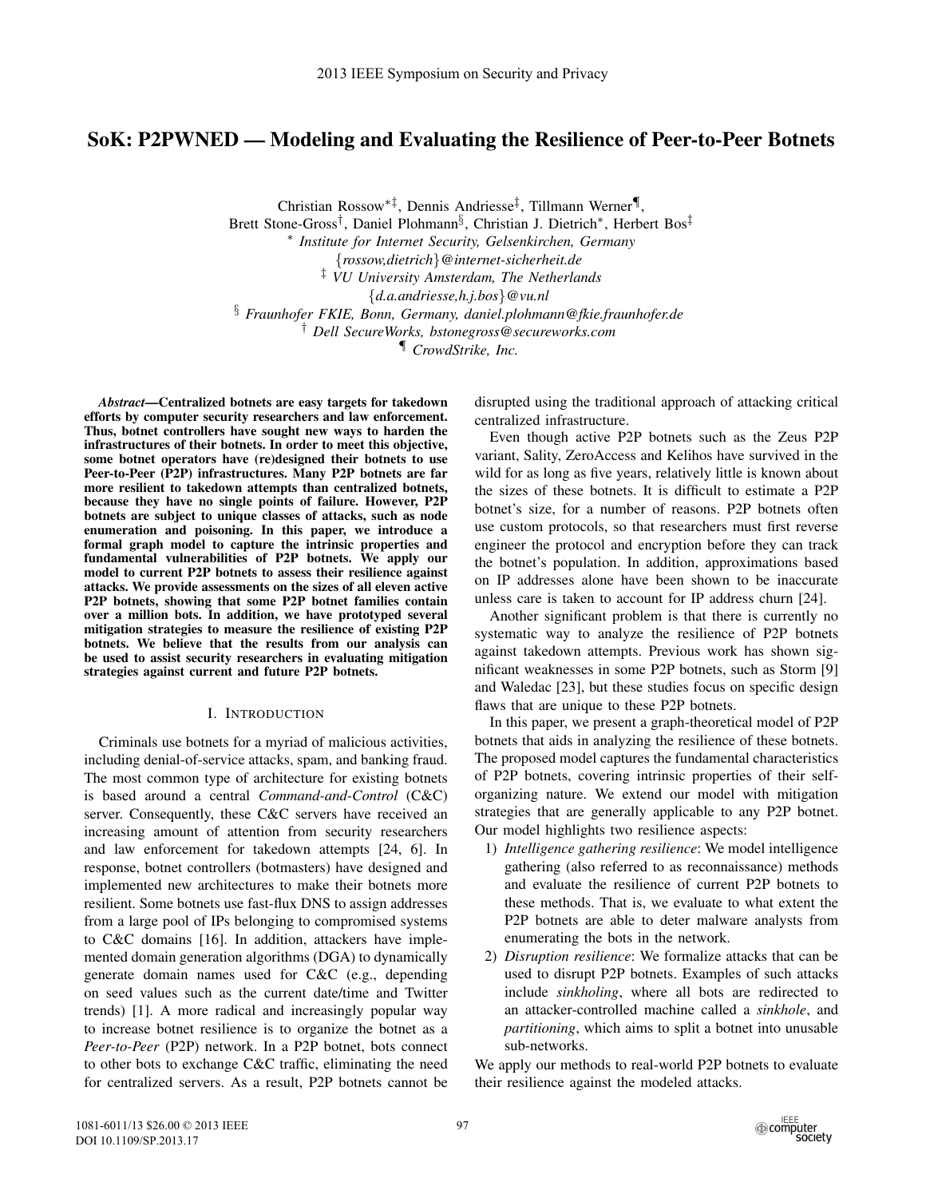# SoK: P2PWNED — Modeling and Evaluating the Resilience of Peer-to-Peer Botnets

Christian Rossow∗‡, Dennis Andriesse‡, Tillmann Werner¶,

Brett Stone-Gross†, Daniel Plohmann§, Christian J. Dietrich∗, Herbert Bos‡ <sup>∗</sup> *Institute for Internet Security, Gelsenkirchen, Germany* {*rossow,dietrich*}*@internet-sicherheit.de* ‡ *VU University Amsterdam, The Netherlands* {*d.a.andriesse,h.j.bos*}*@vu.nl* § *Fraunhofer FKIE, Bonn, Germany, daniel.plohmann@fkie.fraunhofer.de* † *Dell SecureWorks, bstonegross@secureworks.com*

¶ *CrowdStrike, Inc.*

*Abstract*—Centralized botnets are easy targets for takedown efforts by computer security researchers and law enforcement. Thus, botnet controllers have sought new ways to harden the infrastructures of their botnets. In order to meet this objective, some botnet operators have (re)designed their botnets to use Peer-to-Peer (P2P) infrastructures. Many P2P botnets are far more resilient to takedown attempts than centralized botnets, because they have no single points of failure. However, P2P botnets are subject to unique classes of attacks, such as node enumeration and poisoning. In this paper, we introduce a formal graph model to capture the intrinsic properties and fundamental vulnerabilities of P2P botnets. We apply our model to current P2P botnets to assess their resilience against attacks. We provide assessments on the sizes of all eleven active P2P botnets, showing that some P2P botnet families contain over a million bots. In addition, we have prototyped several mitigation strategies to measure the resilience of existing P2P botnets. We believe that the results from our analysis can be used to assist security researchers in evaluating mitigation strategies against current and future P2P botnets.

### I. INTRODUCTION

Criminals use botnets for a myriad of malicious activities, including denial-of-service attacks, spam, and banking fraud. The most common type of architecture for existing botnets is based around a central *Command-and-Control* (C&C) server. Consequently, these C&C servers have received an increasing amount of attention from security researchers and law enforcement for takedown attempts [24, 6]. In response, botnet controllers (botmasters) have designed and implemented new architectures to make their botnets more resilient. Some botnets use fast-flux DNS to assign addresses from a large pool of IPs belonging to compromised systems to C&C domains [16]. In addition, attackers have implemented domain generation algorithms (DGA) to dynamically generate domain names used for C&C (e.g., depending on seed values such as the current date/time and Twitter trends) [1]. A more radical and increasingly popular way to increase botnet resilience is to organize the botnet as a *Peer-to-Peer* (P2P) network. In a P2P botnet, bots connect to other bots to exchange C&C traffic, eliminating the need for centralized servers. As a result, P2P botnets cannot be

disrupted using the traditional approach of attacking critical centralized infrastructure.

Even though active P2P botnets such as the Zeus P2P variant, Sality, ZeroAccess and Kelihos have survived in the wild for as long as five years, relatively little is known about the sizes of these botnets. It is difficult to estimate a P2P botnet's size, for a number of reasons. P2P botnets often use custom protocols, so that researchers must first reverse engineer the protocol and encryption before they can track the botnet's population. In addition, approximations based on IP addresses alone have been shown to be inaccurate unless care is taken to account for IP address churn [24].

Another significant problem is that there is currently no systematic way to analyze the resilience of P2P botnets against takedown attempts. Previous work has shown significant weaknesses in some P2P botnets, such as Storm [9] and Waledac [23], but these studies focus on specific design flaws that are unique to these P2P botnets.

In this paper, we present a graph-theoretical model of P2P botnets that aids in analyzing the resilience of these botnets. The proposed model captures the fundamental characteristics of P2P botnets, covering intrinsic properties of their selforganizing nature. We extend our model with mitigation strategies that are generally applicable to any P2P botnet. Our model highlights two resilience aspects:

- 1) *Intelligence gathering resilience*: We model intelligence gathering (also referred to as reconnaissance) methods and evaluate the resilience of current P2P botnets to these methods. That is, we evaluate to what extent the P2P botnets are able to deter malware analysts from enumerating the bots in the network.
- 2) *Disruption resilience*: We formalize attacks that can be used to disrupt P2P botnets. Examples of such attacks include *sinkholing*, where all bots are redirected to an attacker-controlled machine called a *sinkhole*, and *partitioning*, which aims to split a botnet into unusable sub-networks.

We apply our methods to real-world P2P botnets to evaluate their resilience against the modeled attacks.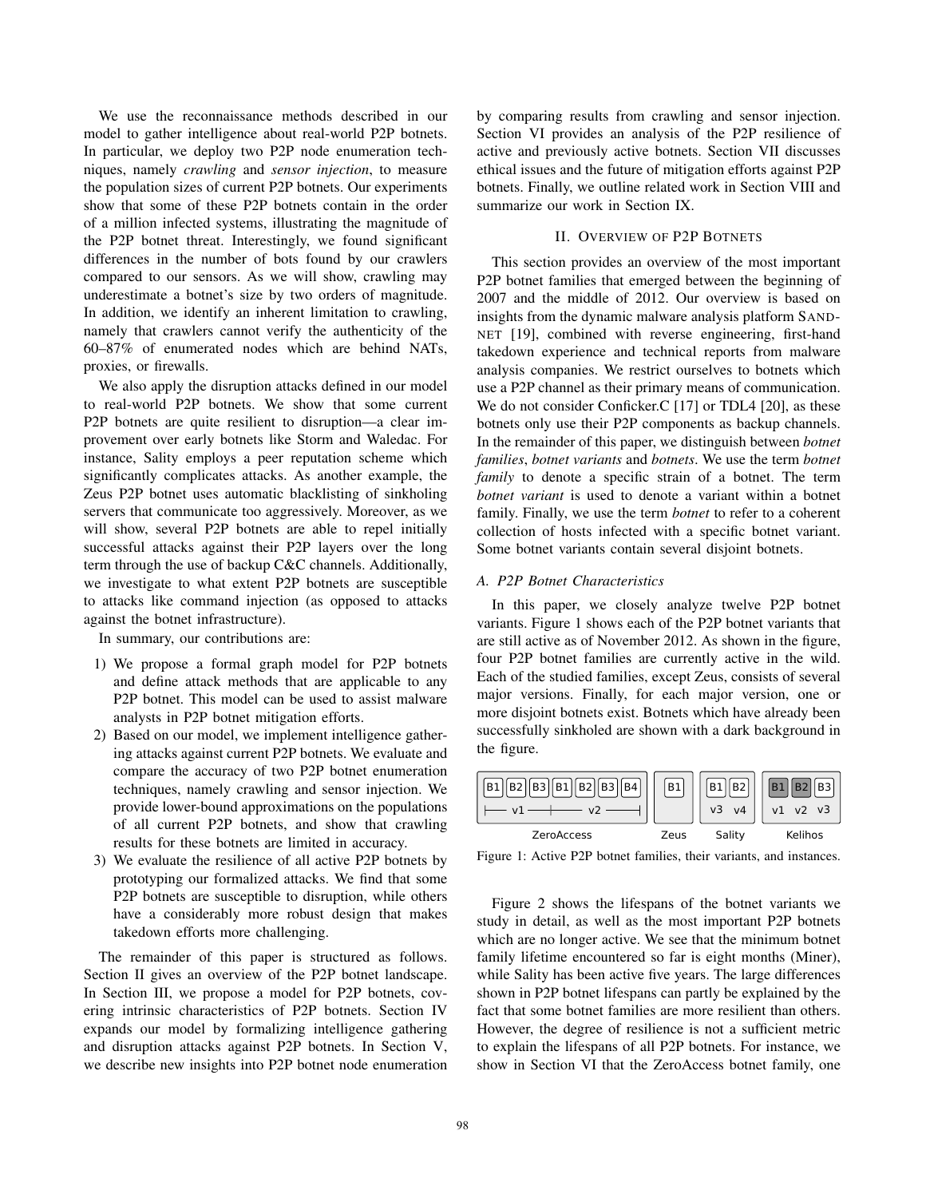We use the reconnaissance methods described in our model to gather intelligence about real-world P2P botnets. In particular, we deploy two P2P node enumeration techniques, namely *crawling* and *sensor injection*, to measure the population sizes of current P2P botnets. Our experiments show that some of these P2P botnets contain in the order of a million infected systems, illustrating the magnitude of the P2P botnet threat. Interestingly, we found significant differences in the number of bots found by our crawlers compared to our sensors. As we will show, crawling may underestimate a botnet's size by two orders of magnitude. In addition, we identify an inherent limitation to crawling, namely that crawlers cannot verify the authenticity of the 60–87% of enumerated nodes which are behind NATs, proxies, or firewalls.

We also apply the disruption attacks defined in our model to real-world P2P botnets. We show that some current P2P botnets are quite resilient to disruption—a clear improvement over early botnets like Storm and Waledac. For instance, Sality employs a peer reputation scheme which significantly complicates attacks. As another example, the Zeus P2P botnet uses automatic blacklisting of sinkholing servers that communicate too aggressively. Moreover, as we will show, several P2P botnets are able to repel initially successful attacks against their P2P layers over the long term through the use of backup C&C channels. Additionally, we investigate to what extent P2P botnets are susceptible to attacks like command injection (as opposed to attacks against the botnet infrastructure).

In summary, our contributions are:

- 1) We propose a formal graph model for P2P botnets and define attack methods that are applicable to any P2P botnet. This model can be used to assist malware analysts in P2P botnet mitigation efforts.
- 2) Based on our model, we implement intelligence gathering attacks against current P2P botnets. We evaluate and compare the accuracy of two P2P botnet enumeration techniques, namely crawling and sensor injection. We provide lower-bound approximations on the populations of all current P2P botnets, and show that crawling results for these botnets are limited in accuracy.
- 3) We evaluate the resilience of all active P2P botnets by prototyping our formalized attacks. We find that some P2P botnets are susceptible to disruption, while others have a considerably more robust design that makes takedown efforts more challenging.

The remainder of this paper is structured as follows. Section II gives an overview of the P2P botnet landscape. In Section III, we propose a model for P2P botnets, covering intrinsic characteristics of P2P botnets. Section IV expands our model by formalizing intelligence gathering and disruption attacks against P2P botnets. In Section V, we describe new insights into P2P botnet node enumeration by comparing results from crawling and sensor injection. Section VI provides an analysis of the P2P resilience of active and previously active botnets. Section VII discusses ethical issues and the future of mitigation efforts against P2P botnets. Finally, we outline related work in Section VIII and summarize our work in Section IX.

### II. OVERVIEW OF P2P BOTNETS

This section provides an overview of the most important P2P botnet families that emerged between the beginning of 2007 and the middle of 2012. Our overview is based on insights from the dynamic malware analysis platform SAND-NET [19], combined with reverse engineering, first-hand takedown experience and technical reports from malware analysis companies. We restrict ourselves to botnets which use a P2P channel as their primary means of communication. We do not consider Conficker.C [17] or TDL4 [20], as these botnets only use their P2P components as backup channels. In the remainder of this paper, we distinguish between *botnet families*, *botnet variants* and *botnets*. We use the term *botnet family* to denote a specific strain of a botnet. The term *botnet variant* is used to denote a variant within a botnet family. Finally, we use the term *botnet* to refer to a coherent collection of hosts infected with a specific botnet variant. Some botnet variants contain several disjoint botnets.

### *A. P2P Botnet Characteristics*

In this paper, we closely analyze twelve P2P botnet variants. Figure 1 shows each of the P2P botnet variants that are still active as of November 2012. As shown in the figure, four P2P botnet families are currently active in the wild. Each of the studied families, except Zeus, consists of several major versions. Finally, for each major version, one or more disjoint botnets exist. Botnets which have already been successfully sinkholed are shown with a dark background in the figure.



Figure 1: Active P2P botnet families, their variants, and instances.

Figure 2 shows the lifespans of the botnet variants we study in detail, as well as the most important P2P botnets which are no longer active. We see that the minimum botnet family lifetime encountered so far is eight months (Miner), while Sality has been active five years. The large differences shown in P2P botnet lifespans can partly be explained by the fact that some botnet families are more resilient than others. However, the degree of resilience is not a sufficient metric to explain the lifespans of all P2P botnets. For instance, we show in Section VI that the ZeroAccess botnet family, one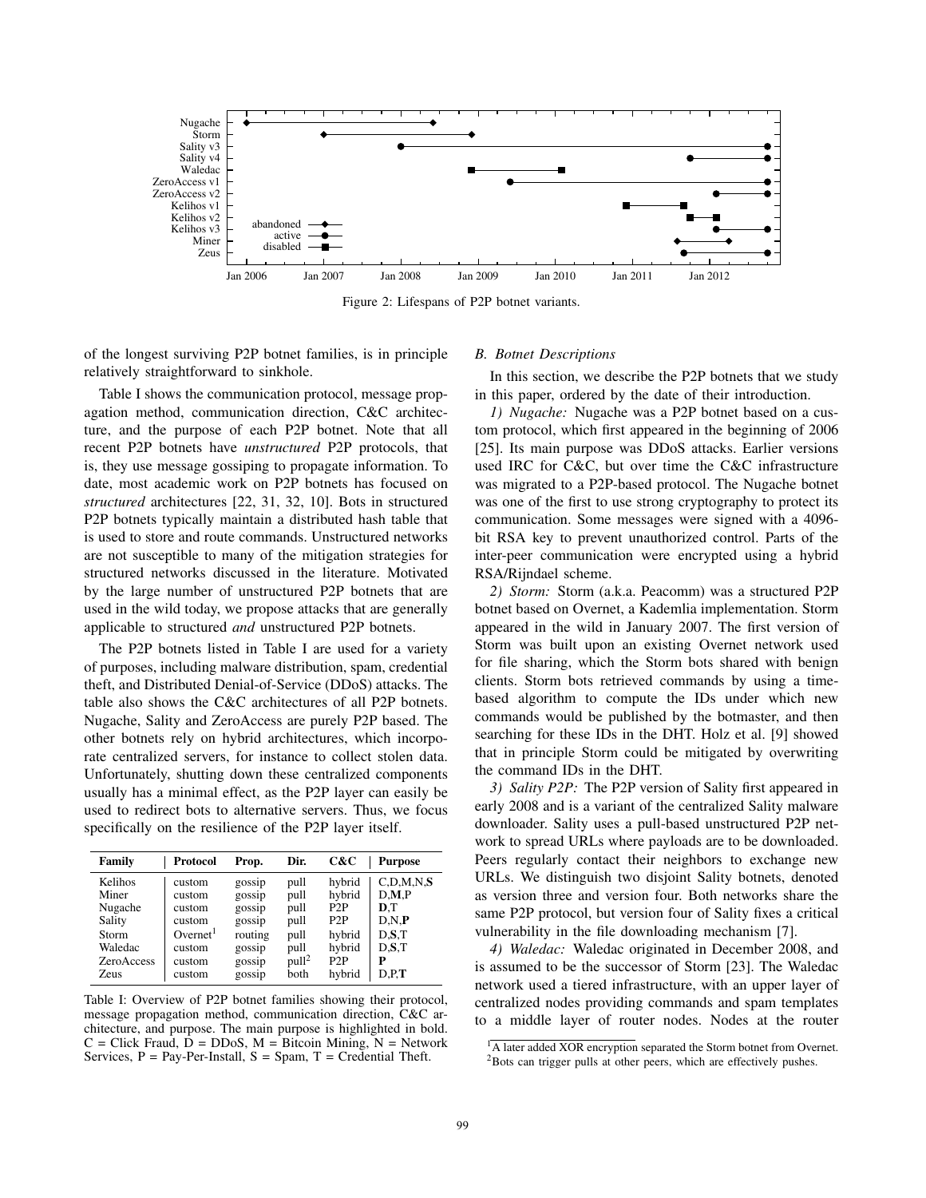

Figure 2: Lifespans of P2P botnet variants.

of the longest surviving P2P botnet families, is in principle relatively straightforward to sinkhole.

Table I shows the communication protocol, message propagation method, communication direction, C&C architecture, and the purpose of each P2P botnet. Note that all recent P2P botnets have *unstructured* P2P protocols, that is, they use message gossiping to propagate information. To date, most academic work on P2P botnets has focused on *structured* architectures [22, 31, 32, 10]. Bots in structured P2P botnets typically maintain a distributed hash table that is used to store and route commands. Unstructured networks are not susceptible to many of the mitigation strategies for structured networks discussed in the literature. Motivated by the large number of unstructured P2P botnets that are used in the wild today, we propose attacks that are generally applicable to structured *and* unstructured P2P botnets.

The P2P botnets listed in Table I are used for a variety of purposes, including malware distribution, spam, credential theft, and Distributed Denial-of-Service (DDoS) attacks. The table also shows the C&C architectures of all P2P botnets. Nugache, Sality and ZeroAccess are purely P2P based. The other botnets rely on hybrid architectures, which incorporate centralized servers, for instance to collect stolen data. Unfortunately, shutting down these centralized components usually has a minimal effect, as the P2P layer can easily be used to redirect bots to alternative servers. Thus, we focus specifically on the resilience of the P2P layer itself.

| Family            | Protocol             | Prop.   | Dir.              | C&C              | <b>Purpose</b> |
|-------------------|----------------------|---------|-------------------|------------------|----------------|
| Kelihos           | custom               | gossip  | pull              | hybrid           | C.D.M.N.S      |
| Miner             | custom               | gossip  | pull              | hybrid           | D.M.P          |
| Nugache           | custom               | gossip  | pull              | P <sub>2</sub> P | D.T            |
| Sality            | custom               | gossip  | pull              | P <sub>2</sub> P | D.N.P          |
| Storm             | Overnet <sup>1</sup> | routing | pull              | hybrid           | D.S.T          |
| Waledac           | custom               | gossip  | pull              | hybrid           | D.S.T          |
| <b>ZeroAccess</b> | custom               | gossip  | pull <sup>2</sup> | P2P              | Р              |
| <b>Zeus</b>       | custom               | gossip  | both              | hybrid           | D.P.T          |

Table I: Overview of P2P botnet families showing their protocol, message propagation method, communication direction, C&C architecture, and purpose. The main purpose is highlighted in bold.  $C = Click$  Fraud,  $D = DDoS$ ,  $M = Biteoin$  Mining,  $N = Network$ Services,  $P = Pay-Per-Install$ ,  $S = Span$ ,  $T = Credential Theft$ .

#### *B. Botnet Descriptions*

In this section, we describe the P2P botnets that we study in this paper, ordered by the date of their introduction.

*1) Nugache:* Nugache was a P2P botnet based on a custom protocol, which first appeared in the beginning of 2006 [25]. Its main purpose was DDoS attacks. Earlier versions used IRC for C&C, but over time the C&C infrastructure was migrated to a P2P-based protocol. The Nugache botnet was one of the first to use strong cryptography to protect its communication. Some messages were signed with a 4096 bit RSA key to prevent unauthorized control. Parts of the inter-peer communication were encrypted using a hybrid RSA/Rijndael scheme.

*2) Storm:* Storm (a.k.a. Peacomm) was a structured P2P botnet based on Overnet, a Kademlia implementation. Storm appeared in the wild in January 2007. The first version of Storm was built upon an existing Overnet network used for file sharing, which the Storm bots shared with benign clients. Storm bots retrieved commands by using a timebased algorithm to compute the IDs under which new commands would be published by the botmaster, and then searching for these IDs in the DHT. Holz et al. [9] showed that in principle Storm could be mitigated by overwriting the command IDs in the DHT.

*3) Sality P2P:* The P2P version of Sality first appeared in early 2008 and is a variant of the centralized Sality malware downloader. Sality uses a pull-based unstructured P2P network to spread URLs where payloads are to be downloaded. Peers regularly contact their neighbors to exchange new URLs. We distinguish two disjoint Sality botnets, denoted as version three and version four. Both networks share the same P2P protocol, but version four of Sality fixes a critical vulnerability in the file downloading mechanism [7].

*4) Waledac:* Waledac originated in December 2008, and is assumed to be the successor of Storm [23]. The Waledac network used a tiered infrastructure, with an upper layer of centralized nodes providing commands and spam templates to a middle layer of router nodes. Nodes at the router

 $\overline{1_A}$  later added XOR encryption separated the Storm botnet from Overnet. <sup>2</sup>Bots can trigger pulls at other peers, which are effectively pushes.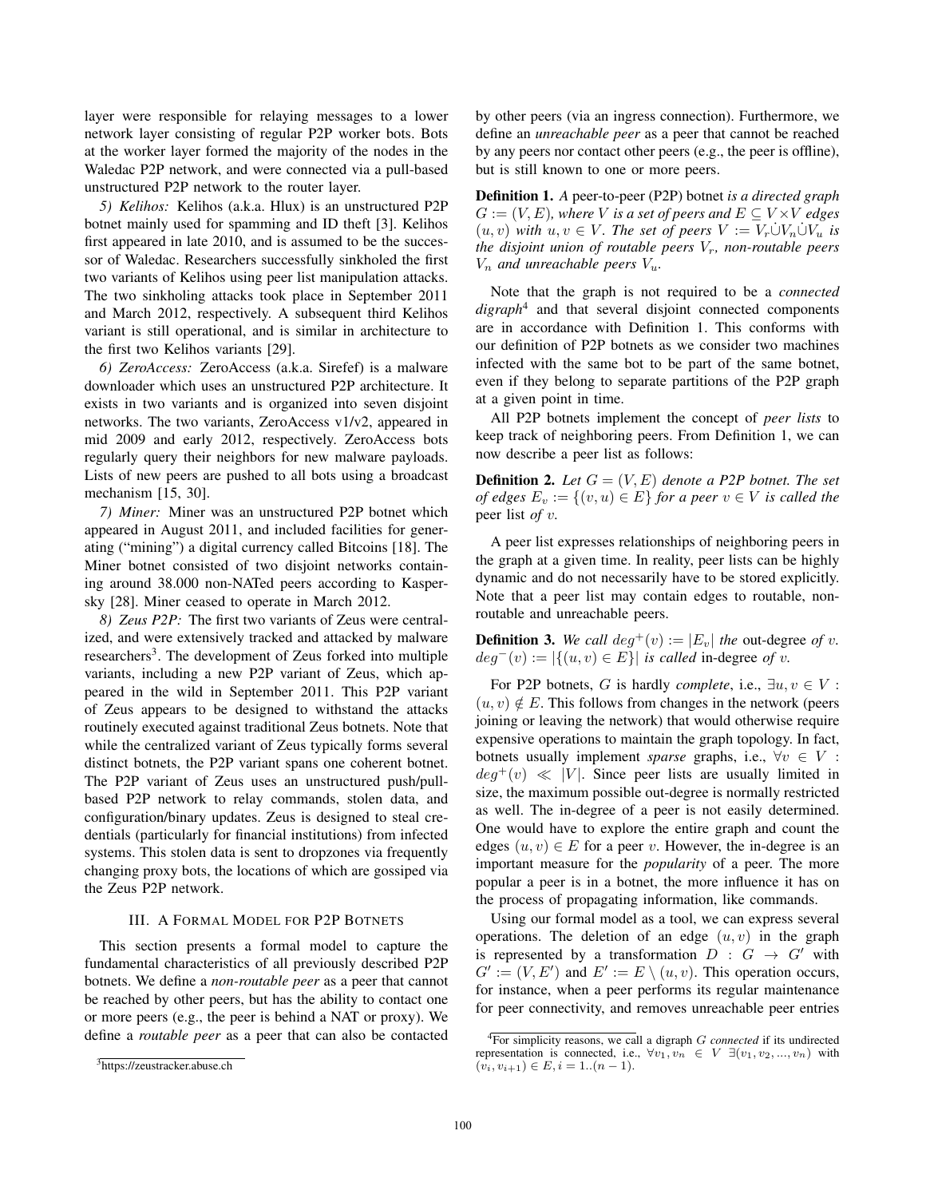layer were responsible for relaying messages to a lower network layer consisting of regular P2P worker bots. Bots at the worker layer formed the majority of the nodes in the Waledac P2P network, and were connected via a pull-based unstructured P2P network to the router layer.

*5) Kelihos:* Kelihos (a.k.a. Hlux) is an unstructured P2P botnet mainly used for spamming and ID theft [3]. Kelihos first appeared in late 2010, and is assumed to be the successor of Waledac. Researchers successfully sinkholed the first two variants of Kelihos using peer list manipulation attacks. The two sinkholing attacks took place in September 2011 and March 2012, respectively. A subsequent third Kelihos variant is still operational, and is similar in architecture to the first two Kelihos variants [29].

*6) ZeroAccess:* ZeroAccess (a.k.a. Sirefef) is a malware downloader which uses an unstructured P2P architecture. It exists in two variants and is organized into seven disjoint networks. The two variants, ZeroAccess v1/v2, appeared in mid 2009 and early 2012, respectively. ZeroAccess bots regularly query their neighbors for new malware payloads. Lists of new peers are pushed to all bots using a broadcast mechanism [15, 30].

*7) Miner:* Miner was an unstructured P2P botnet which appeared in August 2011, and included facilities for generating ("mining") a digital currency called Bitcoins [18]. The Miner botnet consisted of two disjoint networks containing around 38.000 non-NATed peers according to Kaspersky [28]. Miner ceased to operate in March 2012.

*8) Zeus P2P:* The first two variants of Zeus were centralized, and were extensively tracked and attacked by malware researchers<sup>3</sup>. The development of Zeus forked into multiple variants, including a new P2P variant of Zeus, which appeared in the wild in September 2011. This P2P variant of Zeus appears to be designed to withstand the attacks routinely executed against traditional Zeus botnets. Note that while the centralized variant of Zeus typically forms several distinct botnets, the P2P variant spans one coherent botnet. The P2P variant of Zeus uses an unstructured push/pullbased P2P network to relay commands, stolen data, and configuration/binary updates. Zeus is designed to steal credentials (particularly for financial institutions) from infected systems. This stolen data is sent to dropzones via frequently changing proxy bots, the locations of which are gossiped via the Zeus P2P network.

### III. A FORMAL MODEL FOR P2P BOTNETS

This section presents a formal model to capture the fundamental characteristics of all previously described P2P botnets. We define a *non-routable peer* as a peer that cannot be reached by other peers, but has the ability to contact one or more peers (e.g., the peer is behind a NAT or proxy). We define a *routable peer* as a peer that can also be contacted by other peers (via an ingress connection). Furthermore, we define an *unreachable peer* as a peer that cannot be reached by any peers nor contact other peers (e.g., the peer is offline), but is still known to one or more peers.

Definition 1. *A* peer-to-peer (P2P) botnet *is a directed graph*  $G := (V, E)$ *, where* V *is a set of peers and*  $E \subseteq V \times V$  *edges*  $(u, v)$  *with*  $u, v \in V$ *. The set of peers*  $V := V_r \dot{\cup} V_n \dot{\cup} V_u$  *is the disjoint union of routable peers*  $V_r$ *, non-routable peers*  $V_n$  *and unreachable peers*  $V_u$ .

Note that the graph is not required to be a *connected digraph*<sup>4</sup> and that several disjoint connected components are in accordance with Definition 1. This conforms with our definition of P2P botnets as we consider two machines infected with the same bot to be part of the same botnet, even if they belong to separate partitions of the P2P graph at a given point in time.

All P2P botnets implement the concept of *peer lists* to keep track of neighboring peers. From Definition 1, we can now describe a peer list as follows:

**Definition 2.** Let  $G = (V, E)$  denote a P2P botnet. The set *of edges*  $E_v := \{(v, u) \in E\}$  *for a peer*  $v \in V$  *is called the* peer list *of* v*.*

A peer list expresses relationships of neighboring peers in the graph at a given time. In reality, peer lists can be highly dynamic and do not necessarily have to be stored explicitly. Note that a peer list may contain edges to routable, nonroutable and unreachable peers.

**Definition 3.** We call  $deg^+(v) := |E_v|$  the out-degree of v.  $deg^{-}(v) := |\{(u, v) \in E\}|$  *is called* in-degree *of v*.

For P2P botnets, G is hardly *complete*, i.e.,  $\exists u, v \in V$ :  $(u, v) \notin E$ . This follows from changes in the network (peers joining or leaving the network) that would otherwise require expensive operations to maintain the graph topology. In fact, botnets usually implement *sparse* graphs, i.e.,  $\forall v \in V$ :  $deg^+(v) \ll |V|$ . Since peer lists are usually limited in size, the maximum possible out-degree is normally restricted as well. The in-degree of a peer is not easily determined. One would have to explore the entire graph and count the edges  $(u, v) \in E$  for a peer v. However, the in-degree is an important measure for the *popularity* of a peer. The more popular a peer is in a botnet, the more influence it has on the process of propagating information, like commands.

Using our formal model as a tool, we can express several operations. The deletion of an edge  $(u, v)$  in the graph is represented by a transformation  $D : G \rightarrow G'$  with  $G' := (V, E')$  and  $E' := E \setminus (u, v)$ . This operation occurs, for instance, when a peer performs its regular maintenance for peer connectivity, and removes unreachable peer entries

<sup>3</sup>https://zeustracker.abuse.ch

<sup>4</sup>For simplicity reasons, we call a digraph G *connected* if its undirected representation is connected, i.e.,  $\forall v_1, v_n \in V \exists (v_1, v_2, ..., v_n)$  with  $(v_i, v_{i+1}) \in E, i = 1..(n-1).$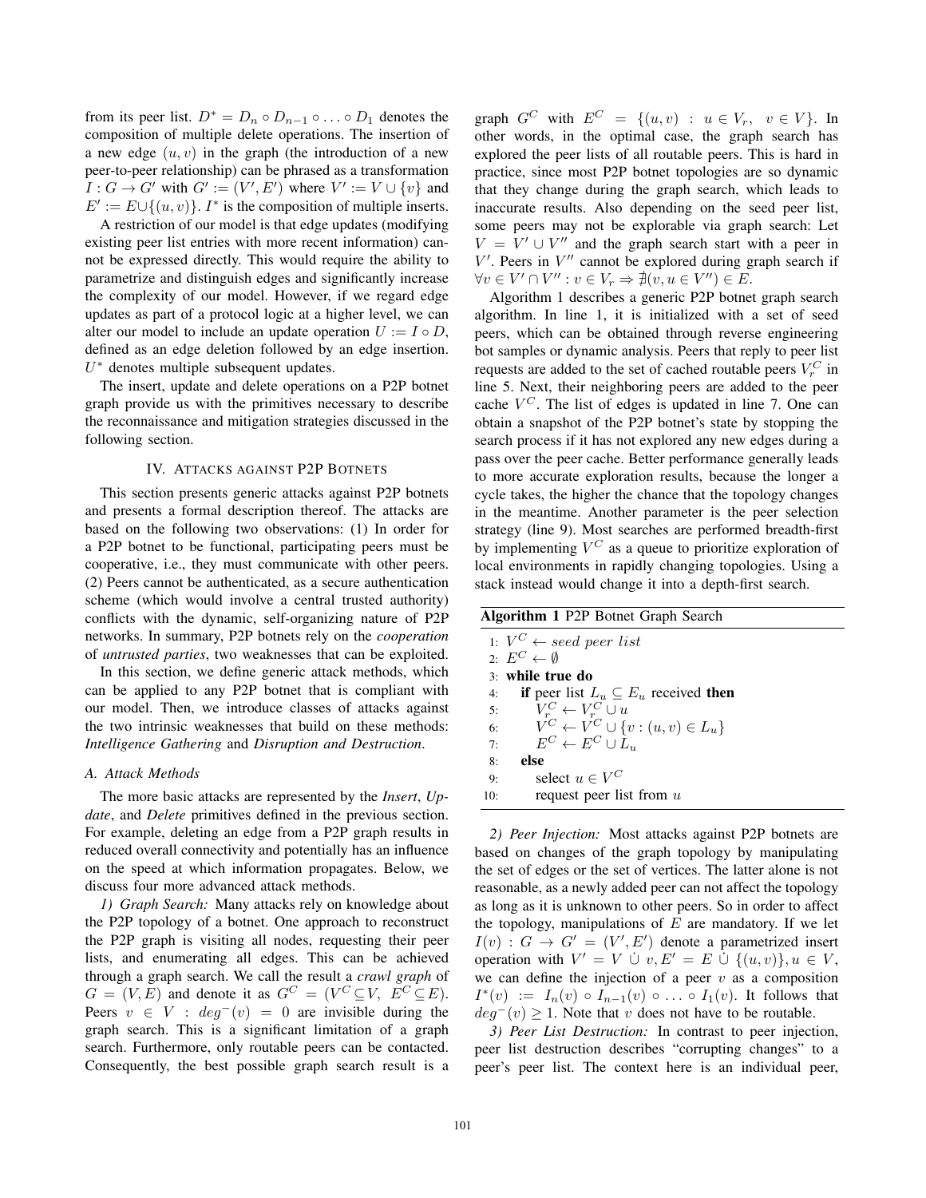from its peer list.  $D^* = D_n \circ D_{n-1} \circ \dots \circ D_1$  denotes the composition of multiple delete operations. The insertion of a new edge  $(u, v)$  in the graph (the introduction of a new peer-to-peer relationship) can be phrased as a transformation  $I: G \to G'$  with  $G' := (V', E')$  where  $V' := V \cup \{v\}$  and  $E' := E \cup \{(u, v)\}\$ . I<sup>\*</sup> is the composition of multiple inserts.

A restriction of our model is that edge updates (modifying existing peer list entries with more recent information) cannot be expressed directly. This would require the ability to parametrize and distinguish edges and significantly increase the complexity of our model. However, if we regard edge updates as part of a protocol logic at a higher level, we can alter our model to include an update operation  $U := I \circ D$ , defined as an edge deletion followed by an edge insertion.  $U^*$  denotes multiple subsequent updates.

The insert, update and delete operations on a P2P botnet graph provide us with the primitives necessary to describe the reconnaissance and mitigation strategies discussed in the following section.

### IV. ATTACKS AGAINST P2P BOTNETS

This section presents generic attacks against P2P botnets and presents a formal description thereof. The attacks are based on the following two observations: (1) In order for a P2P botnet to be functional, participating peers must be cooperative, i.e., they must communicate with other peers. (2) Peers cannot be authenticated, as a secure authentication scheme (which would involve a central trusted authority) conflicts with the dynamic, self-organizing nature of P2P networks. In summary, P2P botnets rely on the *cooperation* of *untrusted parties*, two weaknesses that can be exploited.

In this section, we define generic attack methods, which can be applied to any P2P botnet that is compliant with our model. Then, we introduce classes of attacks against the two intrinsic weaknesses that build on these methods: *Intelligence Gathering* and *Disruption and Destruction*.

#### *A. Attack Methods*

The more basic attacks are represented by the *Insert*, *Update*, and *Delete* primitives defined in the previous section. For example, deleting an edge from a P2P graph results in reduced overall connectivity and potentially has an influence on the speed at which information propagates. Below, we discuss four more advanced attack methods.

*1) Graph Search:* Many attacks rely on knowledge about the P2P topology of a botnet. One approach to reconstruct the P2P graph is visiting all nodes, requesting their peer lists, and enumerating all edges. This can be achieved through a graph search. We call the result a *crawl graph* of  $G = (V, E)$  and denote it as  $G^C = (V^C \subseteq V, E^C \subseteq E)$ . Peers  $v \in V$ :  $deg^-(v) = 0$  are invisible during the graph search. This is a significant limitation of a graph search. Furthermore, only routable peers can be contacted. Consequently, the best possible graph search result is a graph  $G^C$  with  $E^C = \{(u, v) : u \in V_r, v \in V\}$ . In other words, in the optimal case, the graph search has explored the peer lists of all routable peers. This is hard in practice, since most P2P botnet topologies are so dynamic that they change during the graph search, which leads to inaccurate results. Also depending on the seed peer list, some peers may not be explorable via graph search: Let  $V = V' \cup V''$  and the graph search start with a peer in  $V'$ . Peers in  $V''$  cannot be explored during graph search if  $\forall v \in V' \cap V'' : v \in V_r \Rightarrow \nexists (v, u \in V'') \in E.$ 

Algorithm 1 describes a generic P2P botnet graph search algorithm. In line 1, it is initialized with a set of seed peers, which can be obtained through reverse engineering bot samples or dynamic analysis. Peers that reply to peer list requests are added to the set of cached routable peers  $V_r^C$  in line 5. Next, their neighboring peers are added to the peer cache  $V^C$ . The list of edges is updated in line 7. One can obtain a snapshot of the P2P botnet's state by stopping the search process if it has not explored any new edges during a pass over the peer cache. Better performance generally leads to more accurate exploration results, because the longer a cycle takes, the higher the chance that the topology changes in the meantime. Another parameter is the peer selection strategy (line 9). Most searches are performed breadth-first by implementing  $V^C$  as a queue to prioritize exploration of local environments in rapidly changing topologies. Using a stack instead would change it into a depth-first search.

|     | Algorithm 1 P2P Botnet Graph Search              |  |  |  |  |  |
|-----|--------------------------------------------------|--|--|--|--|--|
|     | 1: $V^C \leftarrow seed\ peer\ list$             |  |  |  |  |  |
|     | 2. $E^C \leftarrow \emptyset$                    |  |  |  |  |  |
|     | 3: while true do                                 |  |  |  |  |  |
| 4:  | if peer list $L_u \subseteq E_u$ received then   |  |  |  |  |  |
| 5:  | $V_r^C \leftarrow V_r^C \cup u$                  |  |  |  |  |  |
| 6:  | $V^C \leftarrow V^C \cup \{v : (u, v) \in L_u\}$ |  |  |  |  |  |
| 7:  | $E^C \leftarrow E^C \cup L_u$                    |  |  |  |  |  |
| 8:  | else                                             |  |  |  |  |  |
| 9:  | select $u \in V^C$                               |  |  |  |  |  |
| 10: | request peer list from $u$                       |  |  |  |  |  |

*2) Peer Injection:* Most attacks against P2P botnets are based on changes of the graph topology by manipulating the set of edges or the set of vertices. The latter alone is not reasonable, as a newly added peer can not affect the topology as long as it is unknown to other peers. So in order to affect the topology, manipulations of  $E$  are mandatory. If we let  $I(v)$ :  $G \rightarrow G' = (V', E')$  denote a parametrized insert operation with  $V' = V \cup v, E' = E \cup \{(u, v)\}, u \in V,$ we can define the injection of a peer  $v$  as a composition  $I^*(v) := I_n(v) \circ I_{n-1}(v) \circ \ldots \circ I_1(v)$ . It follows that  $deg^{-}(v) \geq 1$ . Note that v does not have to be routable.

*3) Peer List Destruction:* In contrast to peer injection, peer list destruction describes "corrupting changes" to a peer's peer list. The context here is an individual peer,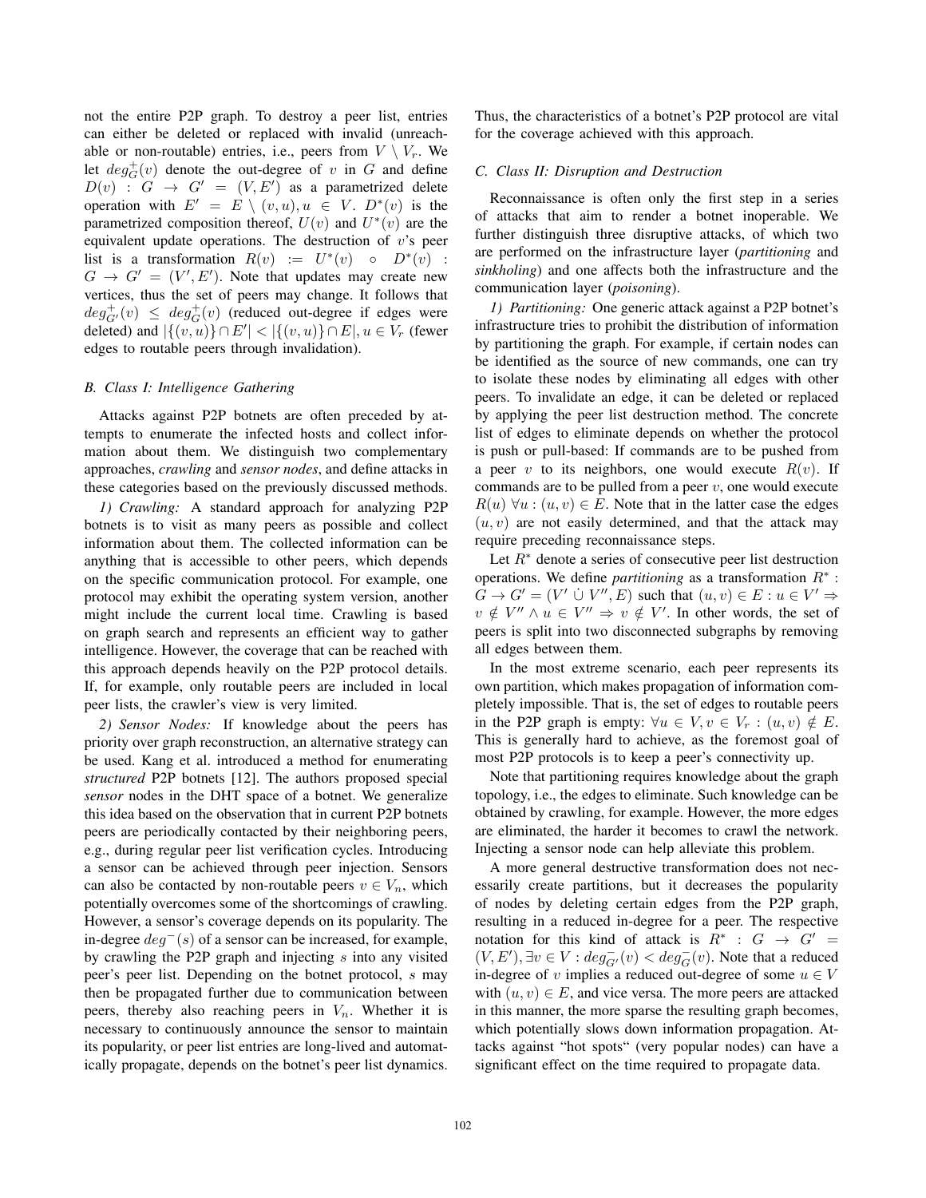not the entire P2P graph. To destroy a peer list, entries can either be deleted or replaced with invalid (unreachable or non-routable) entries, i.e., peers from  $V \setminus V_r$ . We let  $deg_G^+(v)$  denote the out-degree of v in G and define  $D(v)$  :  $G \rightarrow G' = (V, E')$  as a parametrized delete operation with  $E' = E \setminus (v, u), u \in V$ .  $D^*(v)$  is the parametrized composition thereof,  $U(v)$  and  $U^*(v)$  are the equivalent update operations. The destruction of  $v$ 's peer list is a transformation  $R(v) := U^*(v) \circ D^*(v)$ :  $G \rightarrow G' = (V', E')$ . Note that updates may create new vertices, thus the set of peers may change. It follows that  $deg_{G'}^+(v) \leq deg_G^+(v)$  (reduced out-degree if edges were deleted) and  $|\{(v, u)\}\cap E'| < |\{(v, u)\}\cap E|, u \in V_r$  (fewer edges to routable peers through invalidation).

#### *B. Class I: Intelligence Gathering*

Attacks against P2P botnets are often preceded by attempts to enumerate the infected hosts and collect information about them. We distinguish two complementary approaches, *crawling* and *sensor nodes*, and define attacks in these categories based on the previously discussed methods.

*1) Crawling:* A standard approach for analyzing P2P botnets is to visit as many peers as possible and collect information about them. The collected information can be anything that is accessible to other peers, which depends on the specific communication protocol. For example, one protocol may exhibit the operating system version, another might include the current local time. Crawling is based on graph search and represents an efficient way to gather intelligence. However, the coverage that can be reached with this approach depends heavily on the P2P protocol details. If, for example, only routable peers are included in local peer lists, the crawler's view is very limited.

*2) Sensor Nodes:* If knowledge about the peers has priority over graph reconstruction, an alternative strategy can be used. Kang et al. introduced a method for enumerating *structured* P2P botnets [12]. The authors proposed special *sensor* nodes in the DHT space of a botnet. We generalize this idea based on the observation that in current P2P botnets peers are periodically contacted by their neighboring peers, e.g., during regular peer list verification cycles. Introducing a sensor can be achieved through peer injection. Sensors can also be contacted by non-routable peers  $v \in V_n$ , which potentially overcomes some of the shortcomings of crawling. However, a sensor's coverage depends on its popularity. The in-degree  $deg<sup>−</sup>(s)$  of a sensor can be increased, for example, by crawling the P2P graph and injecting s into any visited peer's peer list. Depending on the botnet protocol, s may then be propagated further due to communication between peers, thereby also reaching peers in  $V_n$ . Whether it is necessary to continuously announce the sensor to maintain its popularity, or peer list entries are long-lived and automatically propagate, depends on the botnet's peer list dynamics.

Thus, the characteristics of a botnet's P2P protocol are vital for the coverage achieved with this approach.

#### *C. Class II: Disruption and Destruction*

Reconnaissance is often only the first step in a series of attacks that aim to render a botnet inoperable. We further distinguish three disruptive attacks, of which two are performed on the infrastructure layer (*partitioning* and *sinkholing*) and one affects both the infrastructure and the communication layer (*poisoning*).

*1) Partitioning:* One generic attack against a P2P botnet's infrastructure tries to prohibit the distribution of information by partitioning the graph. For example, if certain nodes can be identified as the source of new commands, one can try to isolate these nodes by eliminating all edges with other peers. To invalidate an edge, it can be deleted or replaced by applying the peer list destruction method. The concrete list of edges to eliminate depends on whether the protocol is push or pull-based: If commands are to be pushed from a peer v to its neighbors, one would execute  $R(v)$ . If commands are to be pulled from a peer  $v$ , one would execute  $R(u)$   $\forall u: (u, v) \in E$ . Note that in the latter case the edges  $(u, v)$  are not easily determined, and that the attack may require preceding reconnaissance steps.

Let  $R^*$  denote a series of consecutive peer list destruction operations. We define *partitioning* as a transformation R<sup>∗</sup> :  $G \to G' = (V' \cup V'', E)$  such that  $(u, v) \in E : u \in V' \Rightarrow$  $v \notin V'' \wedge u \in V'' \Rightarrow v \notin V'$ . In other words, the set of peers is split into two disconnected subgraphs by removing all edges between them.

In the most extreme scenario, each peer represents its own partition, which makes propagation of information completely impossible. That is, the set of edges to routable peers in the P2P graph is empty:  $\forall u \in V, v \in V_r : (u, v) \notin E$ . This is generally hard to achieve, as the foremost goal of most P2P protocols is to keep a peer's connectivity up.

Note that partitioning requires knowledge about the graph topology, i.e., the edges to eliminate. Such knowledge can be obtained by crawling, for example. However, the more edges are eliminated, the harder it becomes to crawl the network. Injecting a sensor node can help alleviate this problem.

A more general destructive transformation does not necessarily create partitions, but it decreases the popularity of nodes by deleting certain edges from the P2P graph, resulting in a reduced in-degree for a peer. The respective notation for this kind of attack is  $R^*$  :  $G \rightarrow G'$  =  $(V, E'), \exists v \in V : deg_{G'}^-(v) < deg_G^-(v)$ . Note that a reduced in-degree of v implies a reduced out-degree of some  $u \in V$ with  $(u, v) \in E$ , and vice versa. The more peers are attacked in this manner, the more sparse the resulting graph becomes, which potentially slows down information propagation. Attacks against "hot spots" (very popular nodes) can have a significant effect on the time required to propagate data.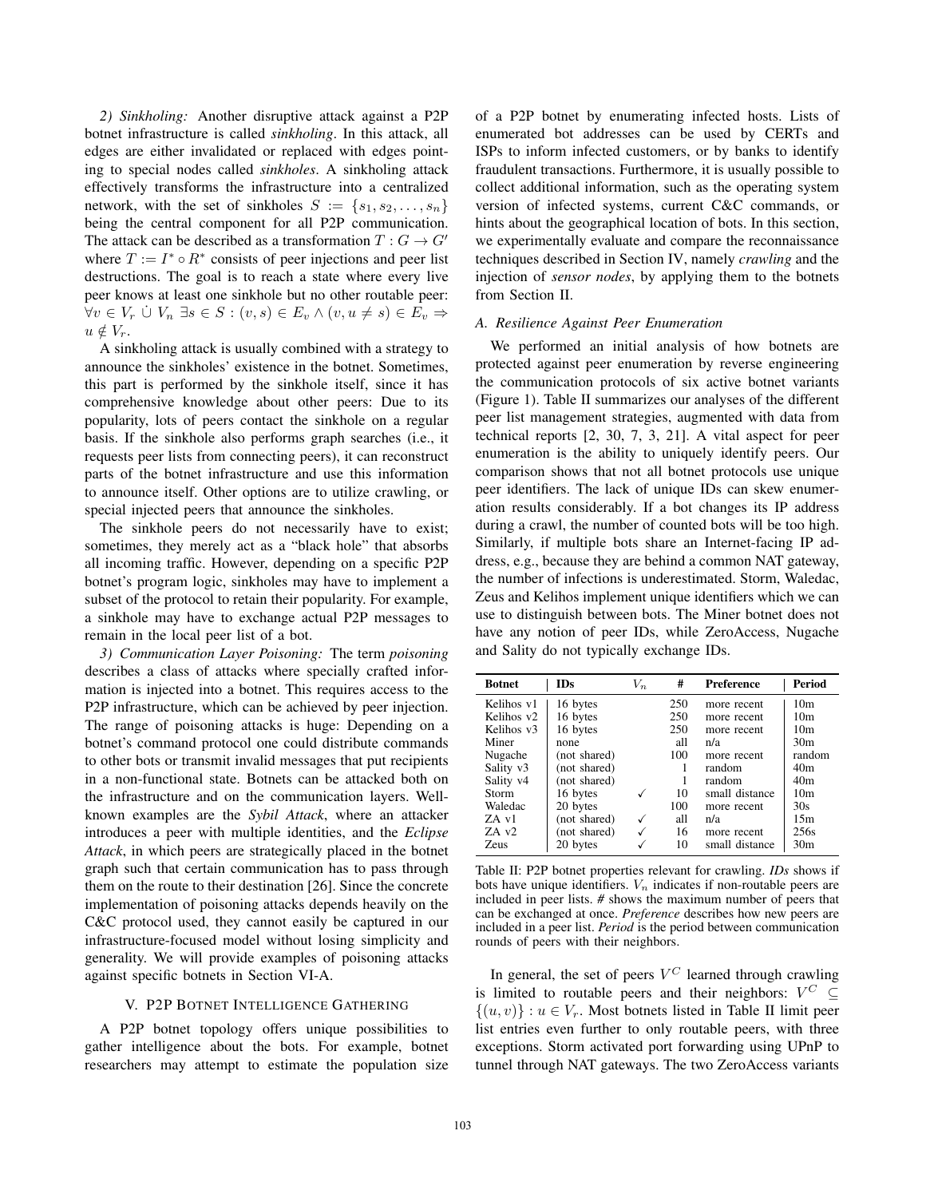*2) Sinkholing:* Another disruptive attack against a P2P botnet infrastructure is called *sinkholing*. In this attack, all edges are either invalidated or replaced with edges pointing to special nodes called *sinkholes*. A sinkholing attack effectively transforms the infrastructure into a centralized network, with the set of sinkholes  $S := \{s_1, s_2, \ldots, s_n\}$ being the central component for all P2P communication. The attack can be described as a transformation  $T: G \to G'$ where  $T := I^* \circ R^*$  consists of peer injections and peer list destructions. The goal is to reach a state where every live peer knows at least one sinkhole but no other routable peer:  $\forall v \in V_r \cup V_n \exists s \in S : (v, s) \in E_v \wedge (v, u \neq s) \in E_v \Rightarrow$  $u \notin V_r$ .

A sinkholing attack is usually combined with a strategy to announce the sinkholes' existence in the botnet. Sometimes, this part is performed by the sinkhole itself, since it has comprehensive knowledge about other peers: Due to its popularity, lots of peers contact the sinkhole on a regular basis. If the sinkhole also performs graph searches (i.e., it requests peer lists from connecting peers), it can reconstruct parts of the botnet infrastructure and use this information to announce itself. Other options are to utilize crawling, or special injected peers that announce the sinkholes.

The sinkhole peers do not necessarily have to exist; sometimes, they merely act as a "black hole" that absorbs all incoming traffic. However, depending on a specific P2P botnet's program logic, sinkholes may have to implement a subset of the protocol to retain their popularity. For example, a sinkhole may have to exchange actual P2P messages to remain in the local peer list of a bot.

*3) Communication Layer Poisoning:* The term *poisoning* describes a class of attacks where specially crafted information is injected into a botnet. This requires access to the P2P infrastructure, which can be achieved by peer injection. The range of poisoning attacks is huge: Depending on a botnet's command protocol one could distribute commands to other bots or transmit invalid messages that put recipients in a non-functional state. Botnets can be attacked both on the infrastructure and on the communication layers. Wellknown examples are the *Sybil Attack*, where an attacker introduces a peer with multiple identities, and the *Eclipse Attack*, in which peers are strategically placed in the botnet graph such that certain communication has to pass through them on the route to their destination [26]. Since the concrete implementation of poisoning attacks depends heavily on the C&C protocol used, they cannot easily be captured in our infrastructure-focused model without losing simplicity and generality. We will provide examples of poisoning attacks against specific botnets in Section VI-A.

## V. P2P BOTNET INTELLIGENCE GATHERING

A P2P botnet topology offers unique possibilities to gather intelligence about the bots. For example, botnet researchers may attempt to estimate the population size of a P2P botnet by enumerating infected hosts. Lists of enumerated bot addresses can be used by CERTs and ISPs to inform infected customers, or by banks to identify fraudulent transactions. Furthermore, it is usually possible to collect additional information, such as the operating system version of infected systems, current C&C commands, or hints about the geographical location of bots. In this section, we experimentally evaluate and compare the reconnaissance techniques described in Section IV, namely *crawling* and the injection of *sensor nodes*, by applying them to the botnets from Section II.

### *A. Resilience Against Peer Enumeration*

We performed an initial analysis of how botnets are protected against peer enumeration by reverse engineering the communication protocols of six active botnet variants (Figure 1). Table II summarizes our analyses of the different peer list management strategies, augmented with data from technical reports [2, 30, 7, 3, 21]. A vital aspect for peer enumeration is the ability to uniquely identify peers. Our comparison shows that not all botnet protocols use unique peer identifiers. The lack of unique IDs can skew enumeration results considerably. If a bot changes its IP address during a crawl, the number of counted bots will be too high. Similarly, if multiple bots share an Internet-facing IP address, e.g., because they are behind a common NAT gateway, the number of infections is underestimated. Storm, Waledac, Zeus and Kelihos implement unique identifiers which we can use to distinguish between bots. The Miner botnet does not have any notion of peer IDs, while ZeroAccess, Nugache and Sality do not typically exchange IDs.

| <b>IDs</b><br><b>Botnet</b> |              | #<br>$V_n$ |     | Preference     | Period          |
|-----------------------------|--------------|------------|-----|----------------|-----------------|
| Kelihos v1                  | 16 bytes     |            | 250 | more recent    | 10 <sub>m</sub> |
| Kelihos v <sub>2</sub>      | 16 bytes     |            | 250 | more recent    | 10 <sub>m</sub> |
| Kelihos v3                  | 16 bytes     |            | 250 | more recent    | 10 <sub>m</sub> |
| Miner                       | none         |            | all | n/a            | 30 <sub>m</sub> |
| Nugache                     | (not shared) |            | 100 | more recent    | random          |
| Sality v3                   | (not shared) |            |     | random         | 40 <sub>m</sub> |
| Sality v <sub>4</sub>       | (not shared) |            |     | random         | 40 <sub>m</sub> |
| Storm                       | 16 bytes     | ✓          | 10  | small distance | 10 <sub>m</sub> |
| Waledac                     | 20 bytes     |            | 100 | more recent    | 30s             |
| ZA v1                       | (not shared) | √          | all | n/a            | 15m             |
| $ZA$ v <sub>2</sub>         | (not shared) |            | 16  | more recent    | 256s            |
| <b>Zeus</b>                 | 20 bytes     |            | 10  | small distance | 30 <sub>m</sub> |

Table II: P2P botnet properties relevant for crawling. *IDs* shows if bots have unique identifiers.  $V_n$  indicates if non-routable peers are included in peer lists. *#* shows the maximum number of peers that can be exchanged at once. *Preference* describes how new peers are included in a peer list. *Period* is the period between communication rounds of peers with their neighbors.

In general, the set of peers  $V^C$  learned through crawling is limited to routable peers and their neighbors:  $V^C \subseteq$  $\{(u, v)\} : u \in V_r$ . Most botnets listed in Table II limit peer list entries even further to only routable peers, with three exceptions. Storm activated port forwarding using UPnP to tunnel through NAT gateways. The two ZeroAccess variants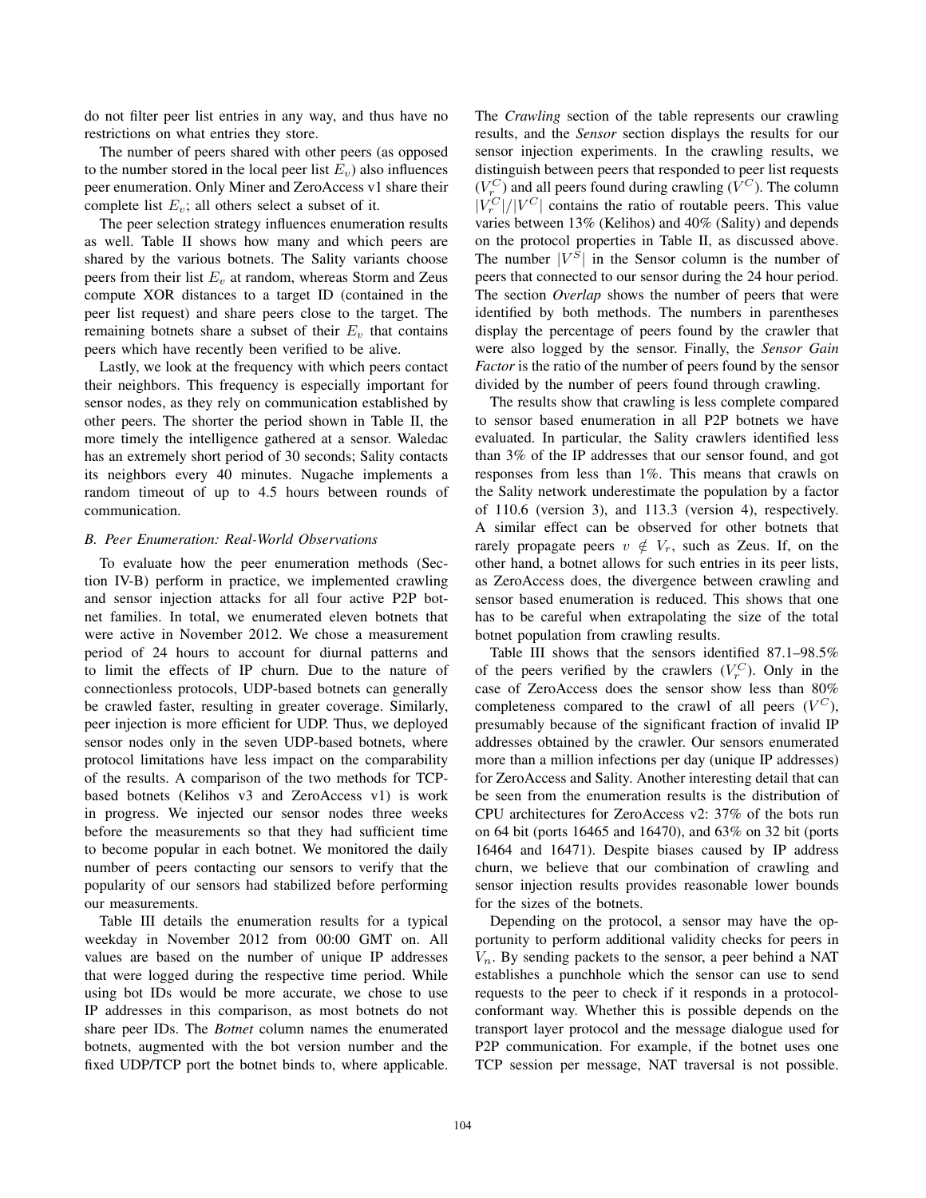do not filter peer list entries in any way, and thus have no restrictions on what entries they store.

The number of peers shared with other peers (as opposed to the number stored in the local peer list  $E_v$ ) also influences peer enumeration. Only Miner and ZeroAccess v1 share their complete list  $E_v$ ; all others select a subset of it.

The peer selection strategy influences enumeration results as well. Table II shows how many and which peers are shared by the various botnets. The Sality variants choose peers from their list  $E_v$  at random, whereas Storm and Zeus compute XOR distances to a target ID (contained in the peer list request) and share peers close to the target. The remaining botnets share a subset of their  $E<sub>v</sub>$  that contains peers which have recently been verified to be alive.

Lastly, we look at the frequency with which peers contact their neighbors. This frequency is especially important for sensor nodes, as they rely on communication established by other peers. The shorter the period shown in Table II, the more timely the intelligence gathered at a sensor. Waledac has an extremely short period of 30 seconds; Sality contacts its neighbors every 40 minutes. Nugache implements a random timeout of up to 4.5 hours between rounds of communication.

### *B. Peer Enumeration: Real-World Observations*

To evaluate how the peer enumeration methods (Section IV-B) perform in practice, we implemented crawling and sensor injection attacks for all four active P2P botnet families. In total, we enumerated eleven botnets that were active in November 2012. We chose a measurement period of 24 hours to account for diurnal patterns and to limit the effects of IP churn. Due to the nature of connectionless protocols, UDP-based botnets can generally be crawled faster, resulting in greater coverage. Similarly, peer injection is more efficient for UDP. Thus, we deployed sensor nodes only in the seven UDP-based botnets, where protocol limitations have less impact on the comparability of the results. A comparison of the two methods for TCPbased botnets (Kelihos v3 and ZeroAccess v1) is work in progress. We injected our sensor nodes three weeks before the measurements so that they had sufficient time to become popular in each botnet. We monitored the daily number of peers contacting our sensors to verify that the popularity of our sensors had stabilized before performing our measurements.

Table III details the enumeration results for a typical weekday in November 2012 from 00:00 GMT on. All values are based on the number of unique IP addresses that were logged during the respective time period. While using bot IDs would be more accurate, we chose to use IP addresses in this comparison, as most botnets do not share peer IDs. The *Botnet* column names the enumerated botnets, augmented with the bot version number and the fixed UDP/TCP port the botnet binds to, where applicable.

The *Crawling* section of the table represents our crawling results, and the *Sensor* section displays the results for our sensor injection experiments. In the crawling results, we distinguish between peers that responded to peer list requests  $(V_r^C)$  and all peers found during crawling  $(V^C)$ . The column  $|V_r^C|/|V^C|$  contains the ratio of routable peers. This value varies between 13% (Kelihos) and 40% (Sality) and depends on the protocol properties in Table II, as discussed above. The number  $|V^S|$  in the Sensor column is the number of peers that connected to our sensor during the 24 hour period. The section *Overlap* shows the number of peers that were identified by both methods. The numbers in parentheses display the percentage of peers found by the crawler that were also logged by the sensor. Finally, the *Sensor Gain Factor* is the ratio of the number of peers found by the sensor divided by the number of peers found through crawling.

The results show that crawling is less complete compared to sensor based enumeration in all P2P botnets we have evaluated. In particular, the Sality crawlers identified less than 3% of the IP addresses that our sensor found, and got responses from less than 1%. This means that crawls on the Sality network underestimate the population by a factor of 110.6 (version 3), and 113.3 (version 4), respectively. A similar effect can be observed for other botnets that rarely propagate peers  $v \notin V_r$ , such as Zeus. If, on the other hand, a botnet allows for such entries in its peer lists, as ZeroAccess does, the divergence between crawling and sensor based enumeration is reduced. This shows that one has to be careful when extrapolating the size of the total botnet population from crawling results.

Table III shows that the sensors identified 87.1–98.5% of the peers verified by the crawlers  $(V_r^C)$ . Only in the case of ZeroAccess does the sensor show less than 80% completeness compared to the crawl of all peers  $(V^C)$ , presumably because of the significant fraction of invalid IP addresses obtained by the crawler. Our sensors enumerated more than a million infections per day (unique IP addresses) for ZeroAccess and Sality. Another interesting detail that can be seen from the enumeration results is the distribution of CPU architectures for ZeroAccess v2: 37% of the bots run on 64 bit (ports 16465 and 16470), and 63% on 32 bit (ports 16464 and 16471). Despite biases caused by IP address churn, we believe that our combination of crawling and sensor injection results provides reasonable lower bounds for the sizes of the botnets.

Depending on the protocol, a sensor may have the opportunity to perform additional validity checks for peers in  $V_n$ . By sending packets to the sensor, a peer behind a NAT establishes a punchhole which the sensor can use to send requests to the peer to check if it responds in a protocolconformant way. Whether this is possible depends on the transport layer protocol and the message dialogue used for P2P communication. For example, if the botnet uses one TCP session per message, NAT traversal is not possible.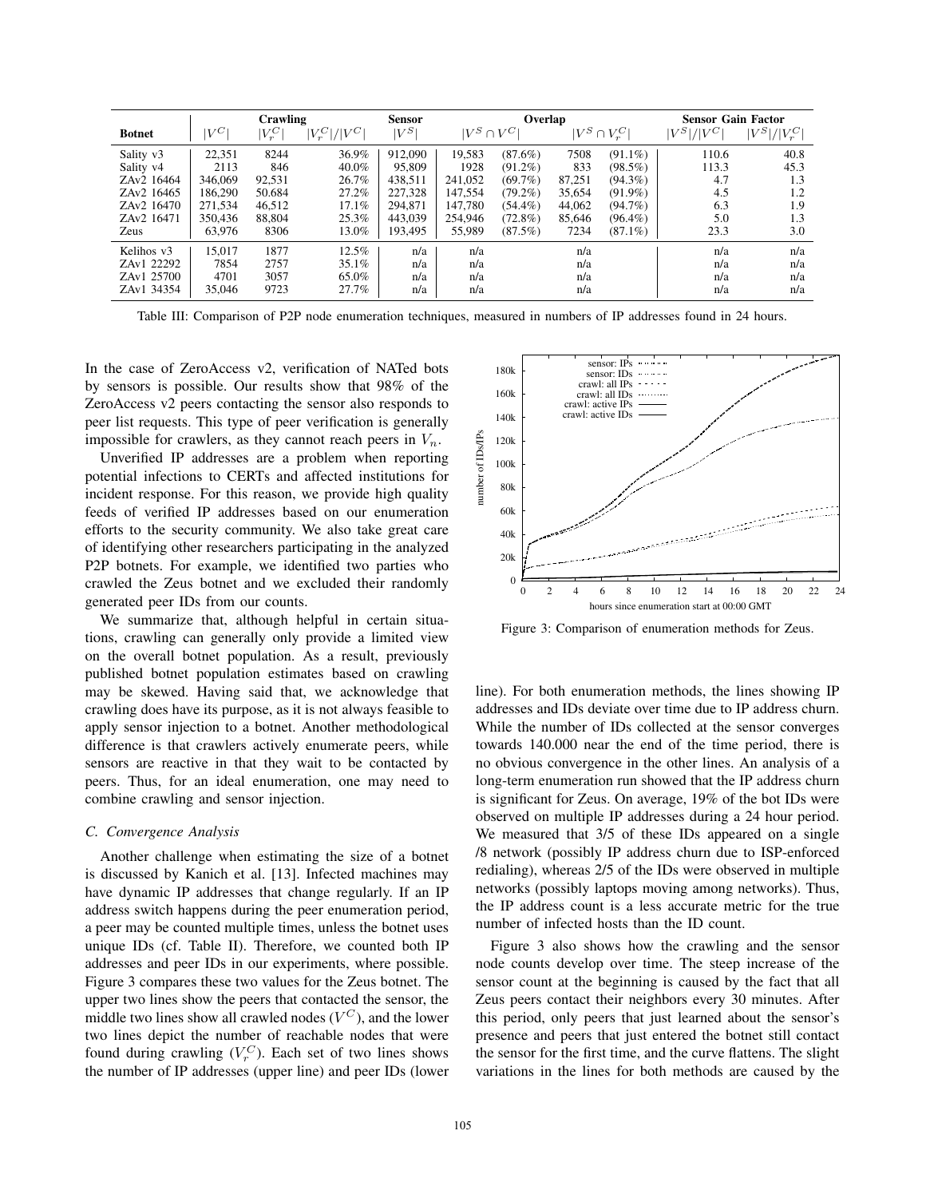|                       |         | Crawling  |                                       | <b>Sensor</b> |                  | Overlap    |        |                    | <b>Sensor Gain Factor</b> |                                       |
|-----------------------|---------|-----------|---------------------------------------|---------------|------------------|------------|--------|--------------------|---------------------------|---------------------------------------|
| <b>Botnet</b>         | $ V^C $ | $ V_r^C $ | $\left V_{r}^{C}\right $<br>$   V^C $ | $ V^S $       | $ V^S \cap V^C $ |            |        | $ V^S \cap V^C_x $ | $/ V^C $<br>$ V^S $ .     | $\vert V^S \vert / \vert V^C_r \vert$ |
| Sality v3             | 22,351  | 8244      | 36.9%                                 | 912,090       | 19,583           | $(87.6\%)$ | 7508   | $(91.1\%)$         | 110.6                     | 40.8                                  |
| Sality v <sub>4</sub> | 2113    | 846       | 40.0%                                 | 95,809        | 1928             | $(91.2\%)$ | 833    | $(98.5\%)$         | 113.3                     | 45.3                                  |
| ZAv2 16464            | 346,069 | 92,531    | 26.7%                                 | 438,511       | 241,052          | (69.7%)    | 87,251 | $(94.3\%)$         | 4.7                       | 1.3                                   |
| ZAv2 16465            | 186.290 | 50.684    | 27.2%                                 | 227.328       | 147.554          | $(79.2\%)$ | 35.654 | $(91.9\%)$         | 4.5                       | 1.2                                   |
| ZAv2 16470            | 271.534 | 46,512    | 17.1%                                 | 294,871       | 147.780          | $(54.4\%)$ | 44,062 | $(94.7\%)$         | 6.3                       | 1.9                                   |
| ZAv2 16471            | 350.436 | 88,804    | 25.3%                                 | 443,039       | 254,946          | $(72.8\%)$ | 85,646 | $(96.4\%)$         | 5.0                       | 1.3                                   |
| Zeus                  | 63,976  | 8306      | 13.0%                                 | 193,495       | 55,989           | (87.5%)    | 7234   | $(87.1\%)$         | 23.3                      | 3.0                                   |
| Kelihos v3            | 15.017  | 1877      | 12.5%                                 | n/a           | n/a              |            | n/a    |                    | n/a                       | n/a                                   |
| ZAv1 22292            | 7854    | 2757      | 35.1%                                 | n/a           | n/a              |            | n/a    |                    | n/a                       | n/a                                   |
| ZAv1 25700            | 4701    | 3057      | 65.0%                                 | n/a           | n/a              |            | n/a    |                    | n/a                       | n/a                                   |
| ZAv1 34354            | 35,046  | 9723      | 27.7%                                 | n/a           | n/a              |            | n/a    |                    | n/a                       | n/a                                   |

Table III: Comparison of P2P node enumeration techniques, measured in numbers of IP addresses found in 24 hours.

In the case of ZeroAccess v2, verification of NATed bots by sensors is possible. Our results show that 98% of the ZeroAccess v2 peers contacting the sensor also responds to peer list requests. This type of peer verification is generally impossible for crawlers, as they cannot reach peers in  $V_n$ .

Unverified IP addresses are a problem when reporting potential infections to CERTs and affected institutions for incident response. For this reason, we provide high quality feeds of verified IP addresses based on our enumeration efforts to the security community. We also take great care of identifying other researchers participating in the analyzed P2P botnets. For example, we identified two parties who crawled the Zeus botnet and we excluded their randomly generated peer IDs from our counts.

We summarize that, although helpful in certain situations, crawling can generally only provide a limited view on the overall botnet population. As a result, previously published botnet population estimates based on crawling may be skewed. Having said that, we acknowledge that crawling does have its purpose, as it is not always feasible to apply sensor injection to a botnet. Another methodological difference is that crawlers actively enumerate peers, while sensors are reactive in that they wait to be contacted by peers. Thus, for an ideal enumeration, one may need to combine crawling and sensor injection.

### *C. Convergence Analysis*

Another challenge when estimating the size of a botnet is discussed by Kanich et al. [13]. Infected machines may have dynamic IP addresses that change regularly. If an IP address switch happens during the peer enumeration period, a peer may be counted multiple times, unless the botnet uses unique IDs (cf. Table II). Therefore, we counted both IP addresses and peer IDs in our experiments, where possible. Figure 3 compares these two values for the Zeus botnet. The upper two lines show the peers that contacted the sensor, the middle two lines show all crawled nodes  $(V^C)$ , and the lower two lines depict the number of reachable nodes that were found during crawling  $(V_r^C)$ . Each set of two lines shows the number of IP addresses (upper line) and peer IDs (lower



Figure 3: Comparison of enumeration methods for Zeus.

line). For both enumeration methods, the lines showing IP addresses and IDs deviate over time due to IP address churn. While the number of IDs collected at the sensor converges towards 140.000 near the end of the time period, there is no obvious convergence in the other lines. An analysis of a long-term enumeration run showed that the IP address churn is significant for Zeus. On average, 19% of the bot IDs were observed on multiple IP addresses during a 24 hour period. We measured that  $3/5$  of these IDs appeared on a single /8 network (possibly IP address churn due to ISP-enforced redialing), whereas 2/5 of the IDs were observed in multiple networks (possibly laptops moving among networks). Thus, the IP address count is a less accurate metric for the true number of infected hosts than the ID count.

Figure 3 also shows how the crawling and the sensor node counts develop over time. The steep increase of the sensor count at the beginning is caused by the fact that all Zeus peers contact their neighbors every 30 minutes. After this period, only peers that just learned about the sensor's presence and peers that just entered the botnet still contact the sensor for the first time, and the curve flattens. The slight variations in the lines for both methods are caused by the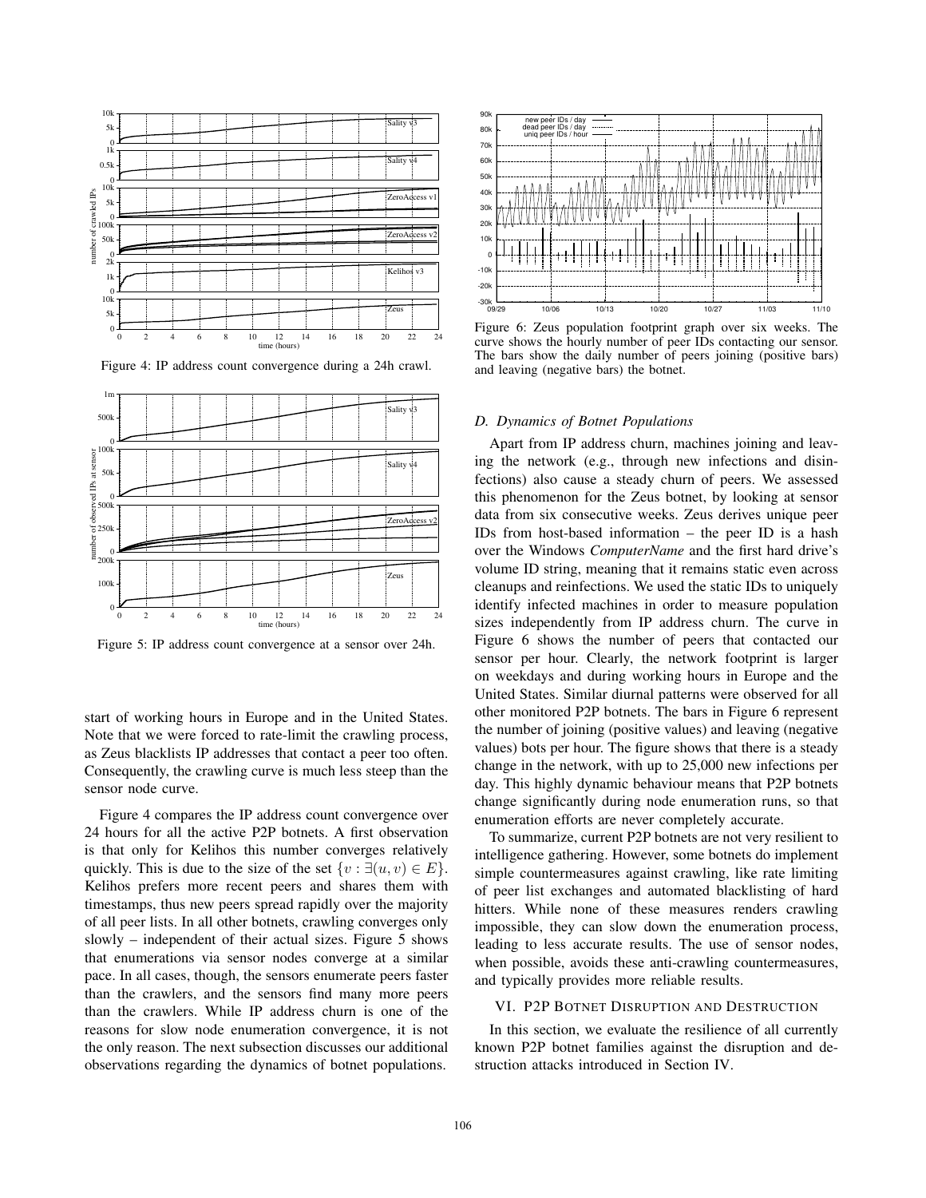

Figure 4: IP address count convergence during a 24h crawl.



Figure 5: IP address count convergence at a sensor over 24h.

start of working hours in Europe and in the United States. Note that we were forced to rate-limit the crawling process, as Zeus blacklists IP addresses that contact a peer too often. Consequently, the crawling curve is much less steep than the sensor node curve.

Figure 4 compares the IP address count convergence over 24 hours for all the active P2P botnets. A first observation is that only for Kelihos this number converges relatively quickly. This is due to the size of the set  $\{v : \exists (u, v) \in E\}.$ Kelihos prefers more recent peers and shares them with timestamps, thus new peers spread rapidly over the majority of all peer lists. In all other botnets, crawling converges only slowly – independent of their actual sizes. Figure 5 shows that enumerations via sensor nodes converge at a similar pace. In all cases, though, the sensors enumerate peers faster than the crawlers, and the sensors find many more peers than the crawlers. While IP address churn is one of the reasons for slow node enumeration convergence, it is not the only reason. The next subsection discusses our additional observations regarding the dynamics of botnet populations.



Figure 6: Zeus population footprint graph over six weeks. The curve shows the hourly number of peer IDs contacting our sensor. The bars show the daily number of peers joining (positive bars) and leaving (negative bars) the botnet.

#### *D. Dynamics of Botnet Populations*

Apart from IP address churn, machines joining and leaving the network (e.g., through new infections and disinfections) also cause a steady churn of peers. We assessed this phenomenon for the Zeus botnet, by looking at sensor data from six consecutive weeks. Zeus derives unique peer IDs from host-based information – the peer ID is a hash over the Windows *ComputerName* and the first hard drive's volume ID string, meaning that it remains static even across cleanups and reinfections. We used the static IDs to uniquely identify infected machines in order to measure population sizes independently from IP address churn. The curve in Figure 6 shows the number of peers that contacted our sensor per hour. Clearly, the network footprint is larger on weekdays and during working hours in Europe and the United States. Similar diurnal patterns were observed for all other monitored P2P botnets. The bars in Figure 6 represent the number of joining (positive values) and leaving (negative values) bots per hour. The figure shows that there is a steady change in the network, with up to 25,000 new infections per day. This highly dynamic behaviour means that P2P botnets change significantly during node enumeration runs, so that enumeration efforts are never completely accurate.

To summarize, current P2P botnets are not very resilient to intelligence gathering. However, some botnets do implement simple countermeasures against crawling, like rate limiting of peer list exchanges and automated blacklisting of hard hitters. While none of these measures renders crawling impossible, they can slow down the enumeration process, leading to less accurate results. The use of sensor nodes, when possible, avoids these anti-crawling countermeasures, and typically provides more reliable results.

### VI. P2P BOTNET DISRUPTION AND DESTRUCTION

In this section, we evaluate the resilience of all currently known P2P botnet families against the disruption and destruction attacks introduced in Section IV.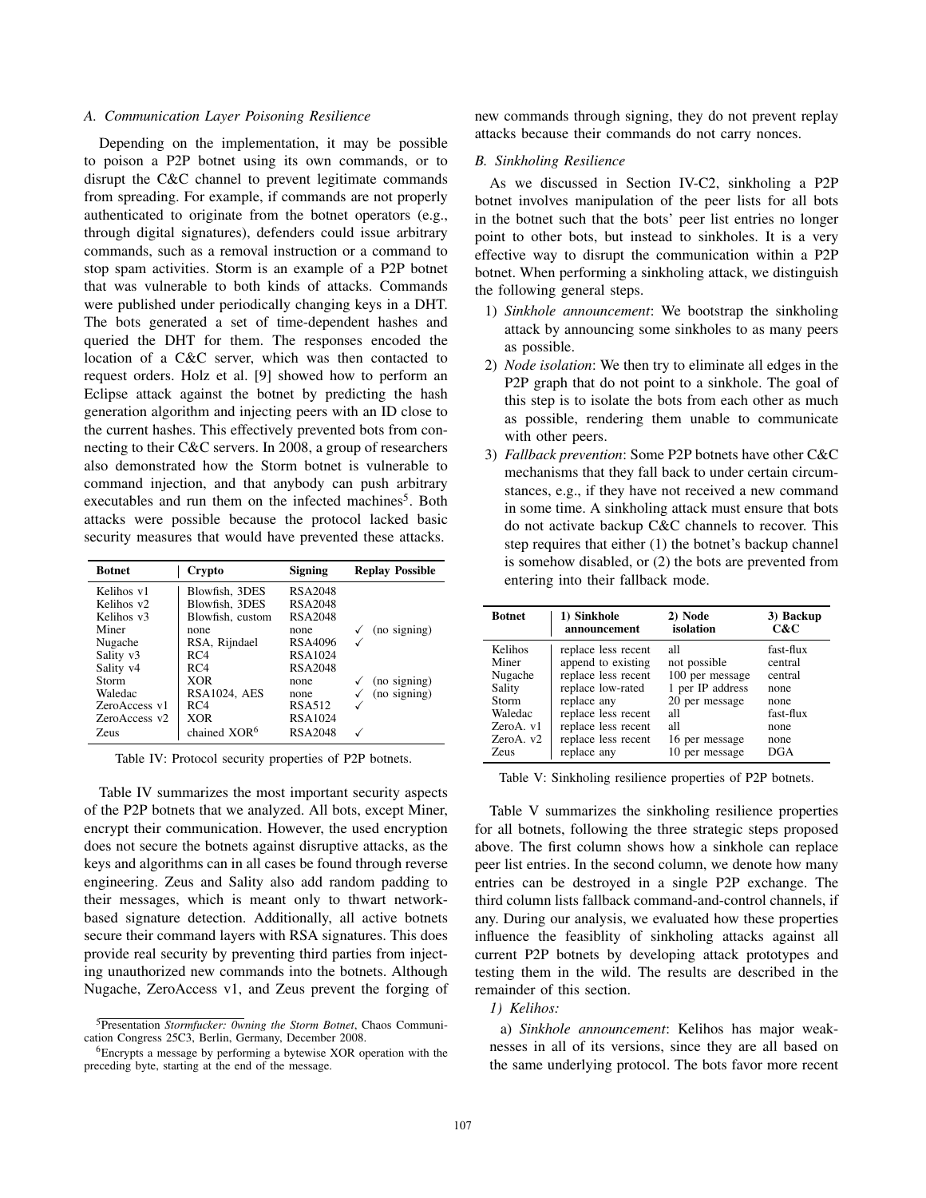### *A. Communication Layer Poisoning Resilience*

Depending on the implementation, it may be possible to poison a P2P botnet using its own commands, or to disrupt the C&C channel to prevent legitimate commands from spreading. For example, if commands are not properly authenticated to originate from the botnet operators (e.g., through digital signatures), defenders could issue arbitrary commands, such as a removal instruction or a command to stop spam activities. Storm is an example of a P2P botnet that was vulnerable to both kinds of attacks. Commands were published under periodically changing keys in a DHT. The bots generated a set of time-dependent hashes and queried the DHT for them. The responses encoded the location of a C&C server, which was then contacted to request orders. Holz et al. [9] showed how to perform an Eclipse attack against the botnet by predicting the hash generation algorithm and injecting peers with an ID close to the current hashes. This effectively prevented bots from connecting to their C&C servers. In 2008, a group of researchers also demonstrated how the Storm botnet is vulnerable to command injection, and that anybody can push arbitrary executables and run them on the infected machines<sup>5</sup>. Both attacks were possible because the protocol lacked basic security measures that would have prevented these attacks.

| <b>Botnet</b>          | Crypto                   | <b>Signing</b> | <b>Replay Possible</b> |
|------------------------|--------------------------|----------------|------------------------|
| Kelihos v1             | Blowfish, 3DES           | RSA2048        |                        |
| Kelihos v <sub>2</sub> | Blowfish, 3DES           | RSA2048        |                        |
| Kelihos v3             | Blowfish, custom         | RSA2048        |                        |
| Miner                  | none                     | none           | (no signing)           |
| Nugache                | RSA, Rijndael            | RSA4096        |                        |
| Sality v3              | RC4                      | RSA1024        |                        |
| Sality v <sub>4</sub>  | RC4                      | RSA2048        |                        |
| Storm                  | <b>XOR</b>               | none           | (no signing)           |
| Waledac                | <b>RSA1024, AES</b>      | none           | (no signing)           |
| ZeroAccess v1          | RC4                      | RSA512         |                        |
| ZeroAccess v2          | <b>XOR</b>               | RSA1024        |                        |
| <b>Zeus</b>            | chained XOR <sup>6</sup> | RSA2048        |                        |

Table IV: Protocol security properties of P2P botnets.

Table IV summarizes the most important security aspects of the P2P botnets that we analyzed. All bots, except Miner, encrypt their communication. However, the used encryption does not secure the botnets against disruptive attacks, as the keys and algorithms can in all cases be found through reverse engineering. Zeus and Sality also add random padding to their messages, which is meant only to thwart networkbased signature detection. Additionally, all active botnets secure their command layers with RSA signatures. This does provide real security by preventing third parties from injecting unauthorized new commands into the botnets. Although Nugache, ZeroAccess v1, and Zeus prevent the forging of new commands through signing, they do not prevent replay attacks because their commands do not carry nonces.

#### *B. Sinkholing Resilience*

As we discussed in Section IV-C2, sinkholing a P2P botnet involves manipulation of the peer lists for all bots in the botnet such that the bots' peer list entries no longer point to other bots, but instead to sinkholes. It is a very effective way to disrupt the communication within a P2P botnet. When performing a sinkholing attack, we distinguish the following general steps.

- 1) *Sinkhole announcement*: We bootstrap the sinkholing attack by announcing some sinkholes to as many peers as possible.
- 2) *Node isolation*: We then try to eliminate all edges in the P2P graph that do not point to a sinkhole. The goal of this step is to isolate the bots from each other as much as possible, rendering them unable to communicate with other peers.
- 3) *Fallback prevention*: Some P2P botnets have other C&C mechanisms that they fall back to under certain circumstances, e.g., if they have not received a new command in some time. A sinkholing attack must ensure that bots do not activate backup C&C channels to recover. This step requires that either (1) the botnet's backup channel is somehow disabled, or (2) the bots are prevented from entering into their fallback mode.

| <b>Botnet</b> | 1) Sinkhole         | 2) Node          | 3) Backup |
|---------------|---------------------|------------------|-----------|
|               | announcement        | isolation        | C&C       |
| Kelihos       | replace less recent | all              | fast-flux |
| Miner         | append to existing  | not possible     | central   |
| Nugache       | replace less recent | 100 per message  | central   |
| Sality        | replace low-rated   | 1 per IP address | none      |
| Storm         | replace any         | 20 per message   | none      |
| Waledac       | replace less recent | all              | fast-flux |
| ZeroA. v1     | replace less recent | all              | none      |
| ZeroA. v2     | replace less recent | 16 per message   | none      |
| <b>Zeus</b>   | replace any         | 10 per message   | DGA       |

Table V: Sinkholing resilience properties of P2P botnets.

Table V summarizes the sinkholing resilience properties for all botnets, following the three strategic steps proposed above. The first column shows how a sinkhole can replace peer list entries. In the second column, we denote how many entries can be destroyed in a single P2P exchange. The third column lists fallback command-and-control channels, if any. During our analysis, we evaluated how these properties influence the feasiblity of sinkholing attacks against all current P2P botnets by developing attack prototypes and testing them in the wild. The results are described in the remainder of this section.

### *1) Kelihos:*

a) *Sinkhole announcement*: Kelihos has major weaknesses in all of its versions, since they are all based on the same underlying protocol. The bots favor more recent

<sup>5</sup>Presentation *Stormfucker: 0wning the Storm Botnet*, Chaos Communication Congress 25C3, Berlin, Germany, December 2008.

<sup>6</sup>Encrypts a message by performing a bytewise XOR operation with the preceding byte, starting at the end of the message.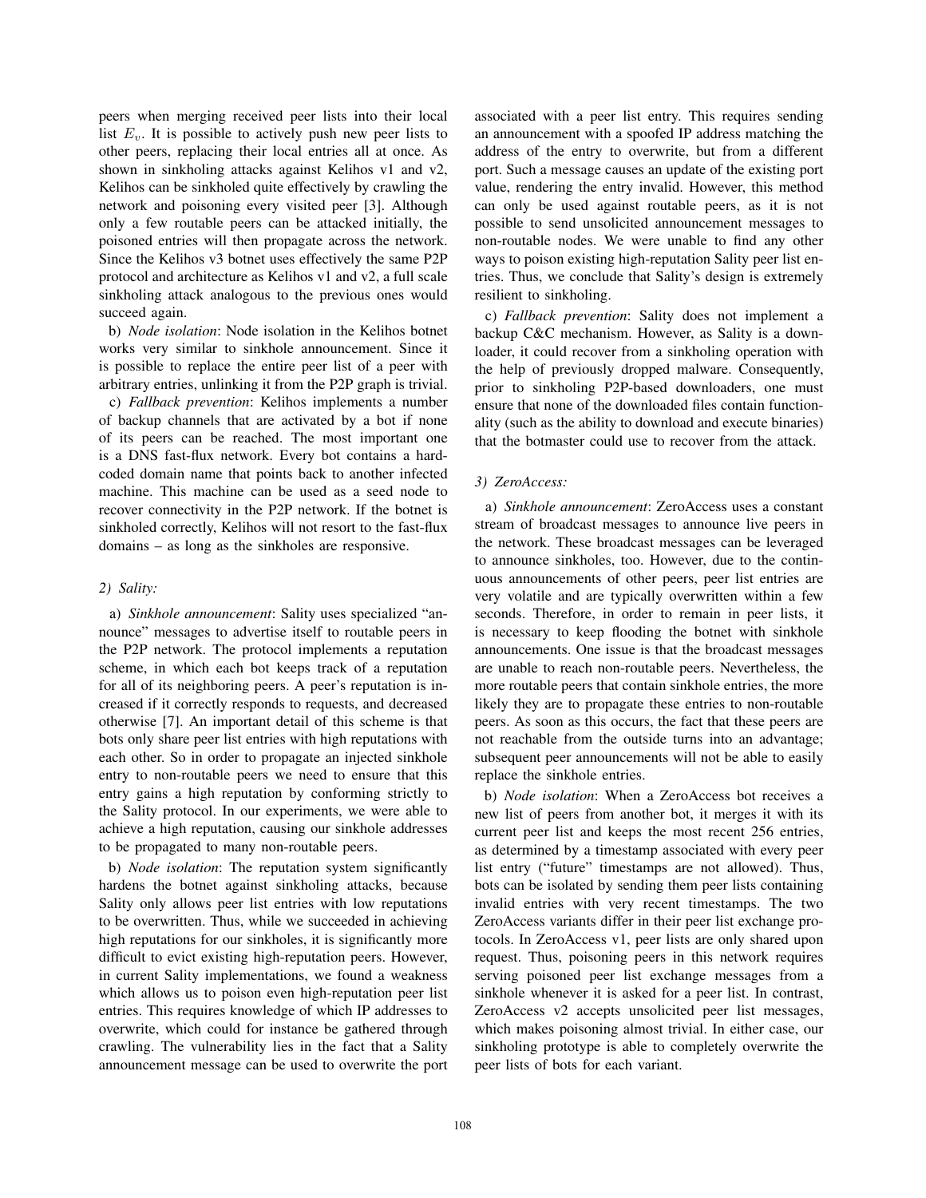peers when merging received peer lists into their local list  $E_v$ . It is possible to actively push new peer lists to other peers, replacing their local entries all at once. As shown in sinkholing attacks against Kelihos v1 and v2, Kelihos can be sinkholed quite effectively by crawling the network and poisoning every visited peer [3]. Although only a few routable peers can be attacked initially, the poisoned entries will then propagate across the network. Since the Kelihos v3 botnet uses effectively the same P2P protocol and architecture as Kelihos v1 and v2, a full scale sinkholing attack analogous to the previous ones would succeed again.

b) *Node isolation*: Node isolation in the Kelihos botnet works very similar to sinkhole announcement. Since it is possible to replace the entire peer list of a peer with arbitrary entries, unlinking it from the P2P graph is trivial.

c) *Fallback prevention*: Kelihos implements a number of backup channels that are activated by a bot if none of its peers can be reached. The most important one is a DNS fast-flux network. Every bot contains a hardcoded domain name that points back to another infected machine. This machine can be used as a seed node to recover connectivity in the P2P network. If the botnet is sinkholed correctly, Kelihos will not resort to the fast-flux domains – as long as the sinkholes are responsive.

### *2) Sality:*

a) *Sinkhole announcement*: Sality uses specialized "announce" messages to advertise itself to routable peers in the P2P network. The protocol implements a reputation scheme, in which each bot keeps track of a reputation for all of its neighboring peers. A peer's reputation is increased if it correctly responds to requests, and decreased otherwise [7]. An important detail of this scheme is that bots only share peer list entries with high reputations with each other. So in order to propagate an injected sinkhole entry to non-routable peers we need to ensure that this entry gains a high reputation by conforming strictly to the Sality protocol. In our experiments, we were able to achieve a high reputation, causing our sinkhole addresses to be propagated to many non-routable peers.

b) *Node isolation*: The reputation system significantly hardens the botnet against sinkholing attacks, because Sality only allows peer list entries with low reputations to be overwritten. Thus, while we succeeded in achieving high reputations for our sinkholes, it is significantly more difficult to evict existing high-reputation peers. However, in current Sality implementations, we found a weakness which allows us to poison even high-reputation peer list entries. This requires knowledge of which IP addresses to overwrite, which could for instance be gathered through crawling. The vulnerability lies in the fact that a Sality announcement message can be used to overwrite the port

associated with a peer list entry. This requires sending an announcement with a spoofed IP address matching the address of the entry to overwrite, but from a different port. Such a message causes an update of the existing port value, rendering the entry invalid. However, this method can only be used against routable peers, as it is not possible to send unsolicited announcement messages to non-routable nodes. We were unable to find any other ways to poison existing high-reputation Sality peer list entries. Thus, we conclude that Sality's design is extremely resilient to sinkholing.

c) *Fallback prevention*: Sality does not implement a backup C&C mechanism. However, as Sality is a downloader, it could recover from a sinkholing operation with the help of previously dropped malware. Consequently, prior to sinkholing P2P-based downloaders, one must ensure that none of the downloaded files contain functionality (such as the ability to download and execute binaries) that the botmaster could use to recover from the attack.

### *3) ZeroAccess:*

a) *Sinkhole announcement*: ZeroAccess uses a constant stream of broadcast messages to announce live peers in the network. These broadcast messages can be leveraged to announce sinkholes, too. However, due to the continuous announcements of other peers, peer list entries are very volatile and are typically overwritten within a few seconds. Therefore, in order to remain in peer lists, it is necessary to keep flooding the botnet with sinkhole announcements. One issue is that the broadcast messages are unable to reach non-routable peers. Nevertheless, the more routable peers that contain sinkhole entries, the more likely they are to propagate these entries to non-routable peers. As soon as this occurs, the fact that these peers are not reachable from the outside turns into an advantage; subsequent peer announcements will not be able to easily replace the sinkhole entries.

b) *Node isolation*: When a ZeroAccess bot receives a new list of peers from another bot, it merges it with its current peer list and keeps the most recent 256 entries, as determined by a timestamp associated with every peer list entry ("future" timestamps are not allowed). Thus, bots can be isolated by sending them peer lists containing invalid entries with very recent timestamps. The two ZeroAccess variants differ in their peer list exchange protocols. In ZeroAccess v1, peer lists are only shared upon request. Thus, poisoning peers in this network requires serving poisoned peer list exchange messages from a sinkhole whenever it is asked for a peer list. In contrast, ZeroAccess v2 accepts unsolicited peer list messages, which makes poisoning almost trivial. In either case, our sinkholing prototype is able to completely overwrite the peer lists of bots for each variant.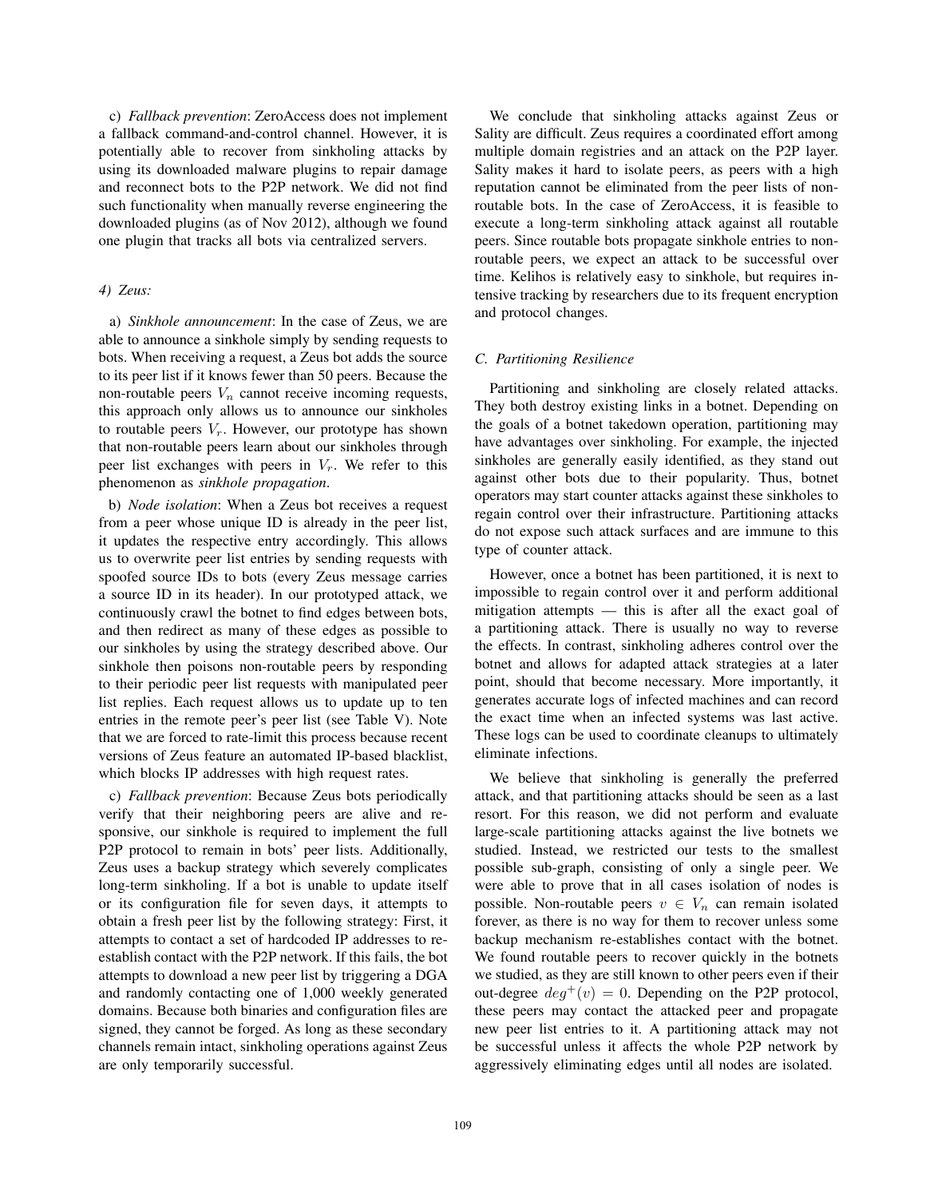c) *Fallback prevention*: ZeroAccess does not implement a fallback command-and-control channel. However, it is potentially able to recover from sinkholing attacks by using its downloaded malware plugins to repair damage and reconnect bots to the P2P network. We did not find such functionality when manually reverse engineering the downloaded plugins (as of Nov 2012), although we found one plugin that tracks all bots via centralized servers.

### *4) Zeus:*

a) *Sinkhole announcement*: In the case of Zeus, we are able to announce a sinkhole simply by sending requests to bots. When receiving a request, a Zeus bot adds the source to its peer list if it knows fewer than 50 peers. Because the non-routable peers  $V_n$  cannot receive incoming requests, this approach only allows us to announce our sinkholes to routable peers  $V_r$ . However, our prototype has shown that non-routable peers learn about our sinkholes through peer list exchanges with peers in  $V_r$ . We refer to this phenomenon as *sinkhole propagation*.

b) *Node isolation*: When a Zeus bot receives a request from a peer whose unique ID is already in the peer list, it updates the respective entry accordingly. This allows us to overwrite peer list entries by sending requests with spoofed source IDs to bots (every Zeus message carries a source ID in its header). In our prototyped attack, we continuously crawl the botnet to find edges between bots, and then redirect as many of these edges as possible to our sinkholes by using the strategy described above. Our sinkhole then poisons non-routable peers by responding to their periodic peer list requests with manipulated peer list replies. Each request allows us to update up to ten entries in the remote peer's peer list (see Table V). Note that we are forced to rate-limit this process because recent versions of Zeus feature an automated IP-based blacklist, which blocks IP addresses with high request rates.

c) *Fallback prevention*: Because Zeus bots periodically verify that their neighboring peers are alive and responsive, our sinkhole is required to implement the full P2P protocol to remain in bots' peer lists. Additionally, Zeus uses a backup strategy which severely complicates long-term sinkholing. If a bot is unable to update itself or its configuration file for seven days, it attempts to obtain a fresh peer list by the following strategy: First, it attempts to contact a set of hardcoded IP addresses to reestablish contact with the P2P network. If this fails, the bot attempts to download a new peer list by triggering a DGA and randomly contacting one of 1,000 weekly generated domains. Because both binaries and configuration files are signed, they cannot be forged. As long as these secondary channels remain intact, sinkholing operations against Zeus are only temporarily successful.

We conclude that sinkholing attacks against Zeus or Sality are difficult. Zeus requires a coordinated effort among multiple domain registries and an attack on the P2P layer. Sality makes it hard to isolate peers, as peers with a high reputation cannot be eliminated from the peer lists of nonroutable bots. In the case of ZeroAccess, it is feasible to execute a long-term sinkholing attack against all routable peers. Since routable bots propagate sinkhole entries to nonroutable peers, we expect an attack to be successful over time. Kelihos is relatively easy to sinkhole, but requires intensive tracking by researchers due to its frequent encryption and protocol changes.

### *C. Partitioning Resilience*

Partitioning and sinkholing are closely related attacks. They both destroy existing links in a botnet. Depending on the goals of a botnet takedown operation, partitioning may have advantages over sinkholing. For example, the injected sinkholes are generally easily identified, as they stand out against other bots due to their popularity. Thus, botnet operators may start counter attacks against these sinkholes to regain control over their infrastructure. Partitioning attacks do not expose such attack surfaces and are immune to this type of counter attack.

However, once a botnet has been partitioned, it is next to impossible to regain control over it and perform additional mitigation attempts — this is after all the exact goal of a partitioning attack. There is usually no way to reverse the effects. In contrast, sinkholing adheres control over the botnet and allows for adapted attack strategies at a later point, should that become necessary. More importantly, it generates accurate logs of infected machines and can record the exact time when an infected systems was last active. These logs can be used to coordinate cleanups to ultimately eliminate infections.

We believe that sinkholing is generally the preferred attack, and that partitioning attacks should be seen as a last resort. For this reason, we did not perform and evaluate large-scale partitioning attacks against the live botnets we studied. Instead, we restricted our tests to the smallest possible sub-graph, consisting of only a single peer. We were able to prove that in all cases isolation of nodes is possible. Non-routable peers  $v \in V_n$  can remain isolated forever, as there is no way for them to recover unless some backup mechanism re-establishes contact with the botnet. We found routable peers to recover quickly in the botnets we studied, as they are still known to other peers even if their out-degree  $deg^+(v)=0$ . Depending on the P2P protocol, these peers may contact the attacked peer and propagate new peer list entries to it. A partitioning attack may not be successful unless it affects the whole P2P network by aggressively eliminating edges until all nodes are isolated.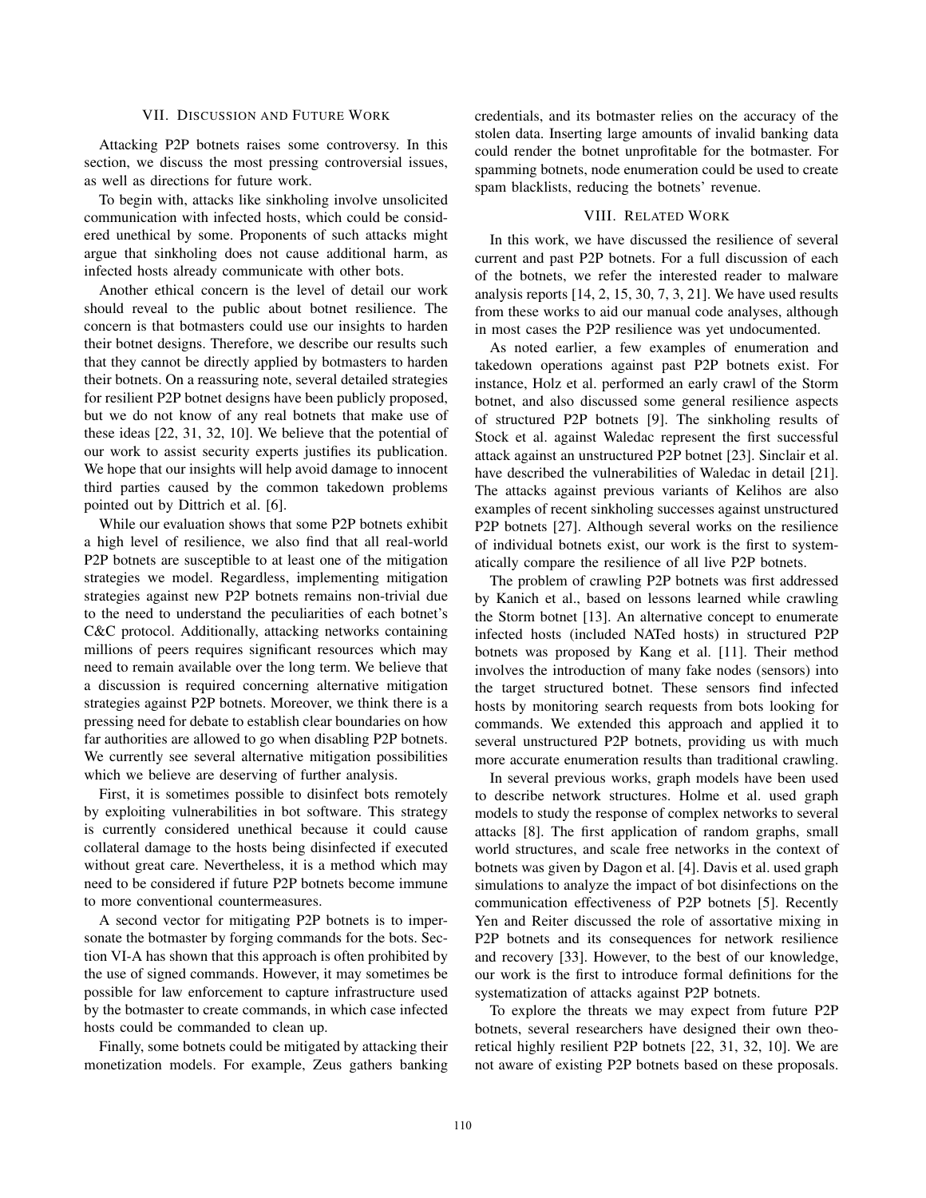### VII. DISCUSSION AND FUTURE WORK

Attacking P2P botnets raises some controversy. In this section, we discuss the most pressing controversial issues, as well as directions for future work.

To begin with, attacks like sinkholing involve unsolicited communication with infected hosts, which could be considered unethical by some. Proponents of such attacks might argue that sinkholing does not cause additional harm, as infected hosts already communicate with other bots.

Another ethical concern is the level of detail our work should reveal to the public about botnet resilience. The concern is that botmasters could use our insights to harden their botnet designs. Therefore, we describe our results such that they cannot be directly applied by botmasters to harden their botnets. On a reassuring note, several detailed strategies for resilient P2P botnet designs have been publicly proposed, but we do not know of any real botnets that make use of these ideas [22, 31, 32, 10]. We believe that the potential of our work to assist security experts justifies its publication. We hope that our insights will help avoid damage to innocent third parties caused by the common takedown problems pointed out by Dittrich et al. [6].

While our evaluation shows that some P2P botnets exhibit a high level of resilience, we also find that all real-world P2P botnets are susceptible to at least one of the mitigation strategies we model. Regardless, implementing mitigation strategies against new P2P botnets remains non-trivial due to the need to understand the peculiarities of each botnet's C&C protocol. Additionally, attacking networks containing millions of peers requires significant resources which may need to remain available over the long term. We believe that a discussion is required concerning alternative mitigation strategies against P2P botnets. Moreover, we think there is a pressing need for debate to establish clear boundaries on how far authorities are allowed to go when disabling P2P botnets. We currently see several alternative mitigation possibilities which we believe are deserving of further analysis.

First, it is sometimes possible to disinfect bots remotely by exploiting vulnerabilities in bot software. This strategy is currently considered unethical because it could cause collateral damage to the hosts being disinfected if executed without great care. Nevertheless, it is a method which may need to be considered if future P2P botnets become immune to more conventional countermeasures.

A second vector for mitigating P2P botnets is to impersonate the botmaster by forging commands for the bots. Section VI-A has shown that this approach is often prohibited by the use of signed commands. However, it may sometimes be possible for law enforcement to capture infrastructure used by the botmaster to create commands, in which case infected hosts could be commanded to clean up.

Finally, some botnets could be mitigated by attacking their monetization models. For example, Zeus gathers banking

credentials, and its botmaster relies on the accuracy of the stolen data. Inserting large amounts of invalid banking data could render the botnet unprofitable for the botmaster. For spamming botnets, node enumeration could be used to create spam blacklists, reducing the botnets' revenue.

#### VIII. RELATED WORK

In this work, we have discussed the resilience of several current and past P2P botnets. For a full discussion of each of the botnets, we refer the interested reader to malware analysis reports [14, 2, 15, 30, 7, 3, 21]. We have used results from these works to aid our manual code analyses, although in most cases the P2P resilience was yet undocumented.

As noted earlier, a few examples of enumeration and takedown operations against past P2P botnets exist. For instance, Holz et al. performed an early crawl of the Storm botnet, and also discussed some general resilience aspects of structured P2P botnets [9]. The sinkholing results of Stock et al. against Waledac represent the first successful attack against an unstructured P2P botnet [23]. Sinclair et al. have described the vulnerabilities of Waledac in detail [21]. The attacks against previous variants of Kelihos are also examples of recent sinkholing successes against unstructured P2P botnets [27]. Although several works on the resilience of individual botnets exist, our work is the first to systematically compare the resilience of all live P2P botnets.

The problem of crawling P2P botnets was first addressed by Kanich et al., based on lessons learned while crawling the Storm botnet [13]. An alternative concept to enumerate infected hosts (included NATed hosts) in structured P2P botnets was proposed by Kang et al. [11]. Their method involves the introduction of many fake nodes (sensors) into the target structured botnet. These sensors find infected hosts by monitoring search requests from bots looking for commands. We extended this approach and applied it to several unstructured P2P botnets, providing us with much more accurate enumeration results than traditional crawling.

In several previous works, graph models have been used to describe network structures. Holme et al. used graph models to study the response of complex networks to several attacks [8]. The first application of random graphs, small world structures, and scale free networks in the context of botnets was given by Dagon et al. [4]. Davis et al. used graph simulations to analyze the impact of bot disinfections on the communication effectiveness of P2P botnets [5]. Recently Yen and Reiter discussed the role of assortative mixing in P2P botnets and its consequences for network resilience and recovery [33]. However, to the best of our knowledge, our work is the first to introduce formal definitions for the systematization of attacks against P2P botnets.

To explore the threats we may expect from future P2P botnets, several researchers have designed their own theoretical highly resilient P2P botnets [22, 31, 32, 10]. We are not aware of existing P2P botnets based on these proposals.